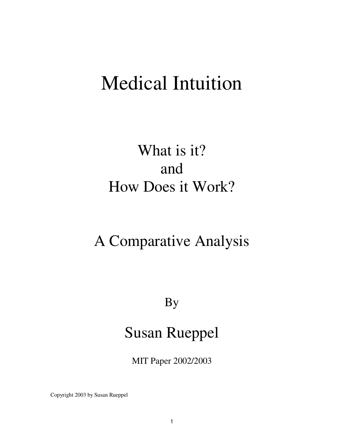# Medical Intuition

## What is it? and How Does it Work?

## A Comparative Analysis

## By

## Susan Rueppel

MIT Paper 2002/2003

Copyright 2003 by Susan Rueppel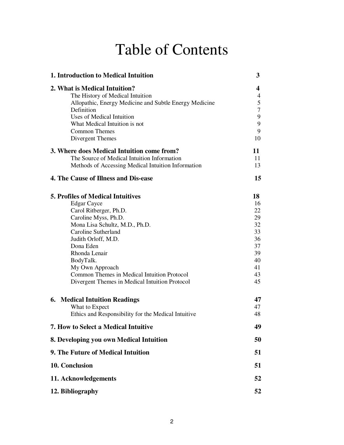## Table of Contents

| 1. Introduction to Medical Intuition                                                                                                                                                                                                                                                                                                                            | 3                                                                          |
|-----------------------------------------------------------------------------------------------------------------------------------------------------------------------------------------------------------------------------------------------------------------------------------------------------------------------------------------------------------------|----------------------------------------------------------------------------|
| 2. What is Medical Intuition?<br>The History of Medical Intuition<br>Allopathic, Energy Medicine and Subtle Energy Medicine<br>Definition<br>Uses of Medical Intuition<br>What Medical Intuition is not<br><b>Common Themes</b><br>Divergent Themes                                                                                                             | 4<br>$\overline{4}$<br>5<br>$\tau$<br>9<br>$\mathbf{9}$<br>9<br>10         |
| 3. Where does Medical Intuition come from?<br>The Source of Medical Intuition Information<br>Methods of Accessing Medical Intuition Information                                                                                                                                                                                                                 | 11<br>11<br>13                                                             |
| <b>4. The Cause of Illness and Dis-ease</b>                                                                                                                                                                                                                                                                                                                     | 15                                                                         |
| <b>5. Profiles of Medical Intuitives</b><br><b>Edgar Cayce</b><br>Carol Ritberger, Ph.D.<br>Caroline Myss, Ph.D.<br>Mona Lisa Schultz, M.D., Ph.D.<br>Caroline Sutherland<br>Judith Orloff, M.D.<br>Dona Eden<br>Rhonda Lenair<br>BodyTalk.<br>My Own Approach<br>Common Themes in Medical Intuition Protocol<br>Divergent Themes in Medical Intuition Protocol | 18<br>16<br>22<br>29<br>32<br>33<br>36<br>37<br>39<br>40<br>41<br>43<br>45 |
| <b>6. Medical Intuition Readings</b><br>What to Expect<br>Ethics and Responsibility for the Medical Intuitive                                                                                                                                                                                                                                                   | 47<br>47<br>48                                                             |
| 7. How to Select a Medical Intuitive                                                                                                                                                                                                                                                                                                                            | 49                                                                         |
| 8. Developing you own Medical Intuition                                                                                                                                                                                                                                                                                                                         | 50                                                                         |
| 9. The Future of Medical Intuition                                                                                                                                                                                                                                                                                                                              | 51                                                                         |
| 10. Conclusion                                                                                                                                                                                                                                                                                                                                                  | 51                                                                         |
| 11. Acknowledgements                                                                                                                                                                                                                                                                                                                                            | 52                                                                         |
| 12. Bibliography                                                                                                                                                                                                                                                                                                                                                | 52                                                                         |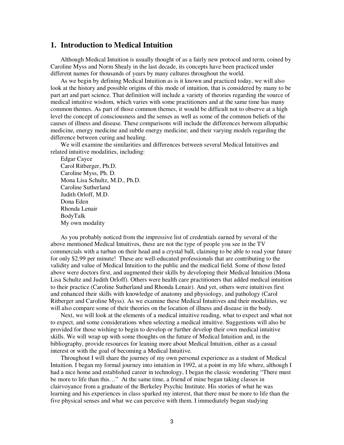## **1. Introduction to Medical Intuition**

Although Medical Intuition is usually thought of as a fairly new protocol and term, coined by Caroline Myss and Norm Shealy in the last decade, its concepts have been practiced under different names for thousands of years by many cultures throughout the world.

As we begin by defining Medical Intuition as is it known and practiced today, we will also look at the history and possible origins of this mode of intuition, that is considered by many to be part art and part science. That definition will include a variety of theories regarding the source of medical intuitive wisdom, which varies with some practitioners and at the same time has many common themes. As part of those common themes, it would be difficult not to observe at a high level the concept of consciousness and the senses as well as some of the common beliefs of the causes of illness and disease. These comparisons will include the differences between allopathic medicine, energy medicine and subtle energy medicine; and their varying models regarding the difference between curing and healing.

We will examine the similarities and differences between several Medical Intuitives and related intuitive modalities, including:

Edgar Cayce Carol Ritberger, Ph.D. Caroline Myss, Ph. D. Mona Lisa Schultz, M.D., Ph.D. Caroline Sutherland Judith Orloff, M.D. Dona Eden Rhonda Lenair BodyTalk My own modality

As you probably noticed from the impressive list of credentials earned by several of the above mentioned Medical Intuitives, these are not the type of people you see in the TV commercials with a turban on their head and a crystal ball, claiming to be able to read your future for only \$2.99 per minute! These are well-educated professionals that are contributing to the validity and value of Medical Intuition to the public and the medical field. Some of those listed above were doctors first, and augmented their skills by developing their Medical Intuition (Mona Lisa Schultz and Judith Orloff). Others were health care practitioners that added medical intuition to their practice (Caroline Sutherland and Rhonda Lenair). And yet, others were intuitives first and enhanced their skills with knowledge of anatomy and physiology, and pathology (Carol Ritberger and Caroline Myss). As we examine these Medical Intuitives and their modalities, we will also compare some of their theories on the location of illness and disease in the body.

Next, we will look at the elements of a medical intuitive reading, what to expect and what not to expect, and some considerations when selecting a medical intuitive. Suggestions will also be provided for those wishing to begin to develop or further develop their own medical intuitive skills. We will wrap up with some thoughts on the future of Medical Intuition and, in the bibliography, provide resources for leaning more about Medical Intuition, either as a casual interest or with the goal of becoming a Medical Intuitive.

Throughout I will share the journey of my own personal experience as a student of Medical Intuition. I began my formal journey into intuition in 1992, at a point in my life where, although I had a nice home and established career in technology, I began the classic wondering "There must be more to life than this…" At the same time, a friend of mine began taking classes in clairvoyance from a graduate of the Berkeley Psychic Institute. His stories of what he was learning and his experiences in class sparked my interest, that there must be more to life than the five physical senses and what we can perceive with them. I immediately began studying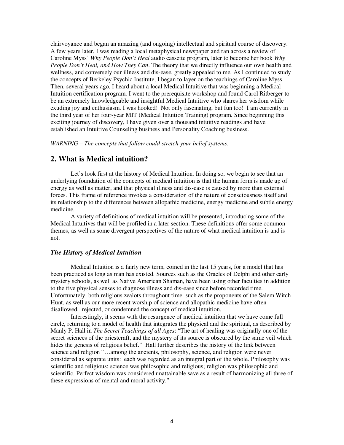clairvoyance and began an amazing (and ongoing) intellectual and spiritual course of discovery. A few years later, I was reading a local metaphysical newspaper and ran across a review of Caroline Myss' *Why People Don't Heal* audio cassette program, later to become her book *Why People Don't Heal, and How They Can*. The theory that we directly influence our own health and wellness, and conversely our illness and dis-ease, greatly appealed to me. As I continued to study the concepts of Berkeley Psychic Institute, I began to layer on the teachings of Caroline Myss. Then, several years ago, I heard about a local Medical Intuitive that was beginning a Medical Intuition certification program. I went to the prerequisite workshop and found Carol Ritberger to be an extremely knowledgeable and insightful Medical Intuitive who shares her wisdom while exuding joy and enthusiasm. I was hooked! Not only fascinating, but fun too! I am currently in the third year of her four-year MIT (Medical Intuition Training) program. Since beginning this exciting journey of discovery, I have given over a thousand intuitive readings and have established an Intuitive Counseling business and Personality Coaching business.

*WARNING – The concepts that follow could stretch your belief systems.* 

## **2. What is Medical intuition?**

Let's look first at the history of Medical Intuition. In doing so, we begin to see that an underlying foundation of the concepts of medical intuition is that the human form is made up of energy as well as matter, and that physical illness and dis-ease is caused by more than external forces. This frame of reference invokes a consideration of the nature of consciousness itself and its relationship to the differences between allopathic medicine, energy medicine and subtle energy medicine.

A variety of definitions of medical intuition will be presented, introducing some of the Medical Intuitives that will be profiled in a later section. These definitions offer some common themes, as well as some divergent perspectives of the nature of what medical intuition is and is not.

#### *The History of Medical Intuition*

Medical Intuition is a fairly new term, coined in the last 15 years, for a model that has been practiced as long as man has existed. Sources such as the Oracles of Delphi and other early mystery schools, as well as Native American Shaman, have been using other faculties in addition to the five physical senses to diagnose illness and dis-ease since before recorded time. Unfortunately, both religious zealots throughout time, such as the proponents of the Salem Witch Hunt, as well as our more recent worship of science and allopathic medicine have often disallowed, rejected, or condemned the concept of medical intuition.

Interestingly, it seems with the resurgence of medical intuition that we have come full circle, returning to a model of health that integrates the physical and the spiritual, as described by Manly P. Hall in *The Secret Teachings of all Ages*: "The art of healing was originally one of the secret sciences of the priestcraft, and the mystery of its source is obscured by the same veil which hides the genesis of religious belief." Hall further describes the history of the link between science and religion "…among the ancients, philosophy, science, and religion were never considered as separate units: each was regarded as an integral part of the whole. Philosophy was scientific and religious; science was philosophic and religious; religion was philosophic and scientific. Perfect wisdom was considered unattainable save as a result of harmonizing all three of these expressions of mental and moral activity."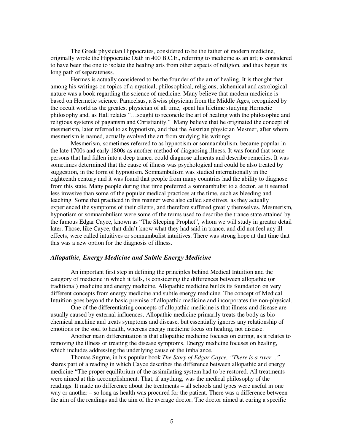The Greek physician Hippocrates, considered to be the father of modern medicine, originally wrote the Hippocratic Oath in 400 B.C.E., referring to medicine as an art; is considered to have been the one to isolate the healing arts from other aspects of religion, and thus begun its long path of separateness.

Hermes is actually considered to be the founder of the art of healing. It is thought that among his writings on topics of a mystical, philosophical, religious, alchemical and astrological nature was a book regarding the science of medicine. Many believe that modern medicine is based on Hermetic science. Paracelsus, a Swiss physician from the Middle Ages, recognized by the occult world as the greatest physician of all time, spent his lifetime studying Hermetic philosophy and, as Hall relates "…sought to reconcile the art of healing with the philosophic and religious systems of paganism and Christianity." Many believe that he originated the concept of mesmerism, later referred to as hypnotism, and that the Austrian physician Mesmer, after whom mesmerism is named, actually evolved the art from studying his writings.

Mesmerism, sometimes referred to as hypnotism or somnambulism, became popular in the late 1700s and early 1800s as another method of diagnosing illness. It was found that some persons that had fallen into a deep trance, could diagnose ailments and describe remedies. It was sometimes determined that the cause of illness was psychological and could be also treated by suggestion, in the form of hypnotism. Somnambulism was studied internationally in the eighteenth century and it was found that people from many countries had the ability to diagnose from this state. Many people during that time preferred a somnambulist to a doctor, as it seemed less invasive than some of the popular medical practices at the time, such as bleeding and leaching. Some that practiced in this manner were also called sensitives, as they actually experienced the symptoms of their clients, and therefore suffered greatly themselves. Mesmerism, hypnotism or somnambulism were some of the terms used to describe the trance state attained by the famous Edgar Cayce, known as "The Sleeping Prophet", whom we will study in greater detail later. Those, like Cayce, that didn't know what they had said in trance, and did not feel any ill effects, were called intuitives or somnambulist intuitives. There was strong hope at that time that this was a new option for the diagnosis of illness.

### *Allopathic, Energy Medicine and Subtle Energy Medicine*

An important first step in defining the principles behind Medical Intuition and the category of medicine in which it falls, is considering the differences between allopathic (or traditional) medicine and energy medicine. Allopathic medicine builds its foundation on very different concepts from energy medicine and subtle energy medicine. The concept of Medical Intuition goes beyond the basic premise of allopathic medicine and incorporates the non-physical.

One of the differentiating concepts of allopathic medicine is that illness and disease are usually caused by external influences. Allopathic medicine primarily treats the body as bio chemical machine and treats symptoms and disease, but essentially ignores any relationship of emotions or the soul to health, whereas energy medicine focus on healing, not disease.

Another main differentiation is that allopathic medicine focuses on curing, as it relates to removing the illness or treating the disease symptoms. Energy medicine focuses on healing, which includes addressing the underlying cause of the imbalance.

Thomas Sugrue, in his popular book *The Story of Edgar Cayce, "There is a river…"* shares part of a reading in which Cayce describes the difference between allopathic and energy medicine "The proper equilibrium of the assimilating system had to be restored. All treatments were aimed at this accomplishment. That, if anything, was the medical philosophy of the readings. It made no difference about the treatments – all schools and types were useful in one way or another – so long as health was procured for the patient. There was a difference between the aim of the readings and the aim of the average doctor. The doctor aimed at curing a specific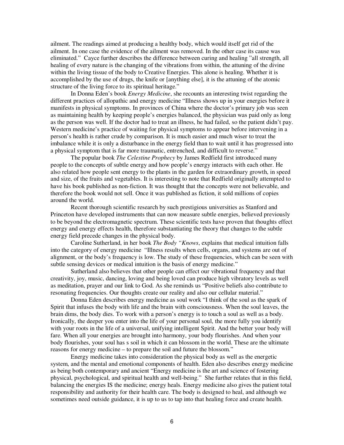ailment. The readings aimed at producing a healthy body, which would itself get rid of the ailment. In one case the evidence of the ailment was removed. In the other case its cause was eliminated." Cayce further describes the difference between curing and healing "all strength, all healing of every nature is the changing of the vibrations from within, the attuning of the divine within the living tissue of the body to Creative Energies. This alone is healing. Whether it is accomplished by the use of drugs, the knife or [anything else], it is the attuning of the atomic structure of the living force to its spiritual heritage."

In Donna Eden's book *Energy Medicine*, she recounts an interesting twist regarding the different practices of allopathic and energy medicine "Illness shows up in your energies before it manifests in physical symptoms. In provinces of China where the doctor's primary job was seen as maintaining health by keeping people's energies balanced, the physician was paid only as long as the person was well. If the doctor had to treat an illness, he had failed, so the patient didn't pay. Western medicine's practice of waiting for physical symptoms to appear before intervening in a person's health is rather crude by comparison. It is much easier and much wiser to treat the imbalance while it is only a disturbance in the energy field than to wait until it has progressed into a physical symptom that is far more traumatic, entrenched, and difficult to reverse."

The popular book *The Celestine Prophecy* by James Redfield first introduced many people to the concepts of subtle energy and how people's energy interacts with each other. He also related how people sent energy to the plants in the garden for extraordinary growth, in speed and size, of the fruits and vegetables. It is interesting to note that Redfield originally attempted to have his book published as non-fiction. It was thought that the concepts were not believable, and therefore the book would not sell. Once it was published as fiction, it sold millions of copies around the world.

Recent thorough scientific research by such prestigious universities as Stanford and Princeton have developed instruments that can now measure subtle energies, believed previously to be beyond the electromagnetic spectrum. These scientific tests have proven that thoughts effect energy and energy effects health, therefore substantiating the theory that changes to the subtle energy field precede changes in the physical body.

Caroline Sutherland, in her book *The Body "Knows*, explains that medical intuition falls into the category of energy medicine "Illness results when cells, organs, and systems are out of alignment, or the body's frequency is low. The study of these frequencies, which can be seen with subtle sensing devices or medical intuition is the basis of energy medicine."

Sutherland also believes that other people can effect our vibrational frequency and that creativity, joy, music, dancing, loving and being loved can produce high vibratory levels as well as meditation, prayer and our link to God. As she reminds us "Positive beliefs also contribute to resonating frequencies. Our thoughts create our reality and also our cellular material."

Donna Eden describes energy medicine as soul work "I think of the soul as the spark of Spirit that infuses the body with life and the brain with consciousness. When the soul leaves, the brain dims, the body dies. To work with a person's energy is to touch a soul as well as a body. Ironically, the deeper you enter into the life of your personal soul, the more fully you identify with your roots in the life of a universal, unifying intelligent Spirit. And the better your body will fare. When all your energies are brought into harmony, your body flourishes. And when your body flourishes, your soul has s soil in which it can blossom in the world. These are the ultimate reasons for energy medicine – to prepare the soil and future the blossom."

Energy medicine takes into consideration the physical body as well as the energetic system, and the mental and emotional components of health. Eden also describes energy medicine as being both contemporary and ancient "Energy medicine is the art and science of fostering physical, psychological, and spiritual health and well-being." She further relates that in this field, balancing the energies IS the medicine; energy heals. Energy medicine also gives the patient total responsibility and authority for their health care. The body is designed to heal, and although we sometimes need outside guidance, it is up to us to tap into that healing force and create health.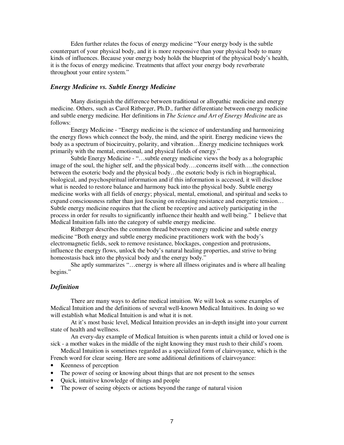Eden further relates the focus of energy medicine "Your energy body is the subtle counterpart of your physical body, and it is more responsive than your physical body to many kinds of influences. Because your energy body holds the blueprint of the physical body's health, it is the focus of energy medicine. Treatments that affect your energy body reverberate throughout your entire system."

#### *Energy Medicine vs. Subtle Energy Medicine*

Many distinguish the difference between traditional or allopathic medicine and energy medicine. Others, such as Carol Ritberger, Ph.D., further differentiate between energy medicine and subtle energy medicine. Her definitions in *The Science and Art of Energy Medicine* are as follows:

Energy Medicine - "Energy medicine is the science of understanding and harmonizing the energy flows which connect the body, the mind, and the spirit. Energy medicine views the body as a spectrum of biocircuitry, polarity, and vibration…Energy medicine techniques work primarily with the mental, emotional, and physical fields of energy."

Subtle Energy Medicine - "…subtle energy medicine views the body as a holographic image of the soul, the higher self, and the physical body….concerns itself with….the connection between the esoteric body and the physical body…the esoteric body is rich in biographical, biological, and psychospiritual information and if this information is accessed, it will disclose what is needed to restore balance and harmony back into the physical body. Subtle energy medicine works with all fields of energy; physical, mental, emotional, and spiritual and seeks to expand consciousness rather than just focusing on releasing resistance and energetic tension… Subtle energy medicine requires that the client be receptive and actively participating in the process in order for results to significantly influence their health and well being." I believe that Medical Intuition falls into the category of subtle energy medicine.

Ritberger describes the common thread between energy medicine and subtle energy medicine "Both energy and subtle energy medicine practitioners work with the body's electromagnetic fields, seek to remove resistance, blockages, congestion and protrusions, influence the energy flows, unlock the body's natural healing properties, and strive to bring homeostasis back into the physical body and the energy body."

She aptly summarizes "…energy is where all illness originates and is where all healing begins."

## *Definition*

There are many ways to define medical intuition. We will look as some examples of Medical Intuition and the definitions of several well-known Medical Intuitives. In doing so we will establish what Medical Intuition is and what it is not.

At it's most basic level, Medical Intuition provides an in-depth insight into your current state of health and wellness.

An every-day example of Medical Intuition is when parents intuit a child or loved one is sick - a mother wakes in the middle of the night knowing they must rush to their child's room.

Medical Intuition is sometimes regarded as a specialized form of clairvoyance, which is the French word for clear seeing. Here are some additional definitions of clairvoyance:

- Keenness of perception
- The power of seeing or knowing about things that are not present to the senses
- Quick, intuitive knowledge of things and people
- The power of seeing objects or actions beyond the range of natural vision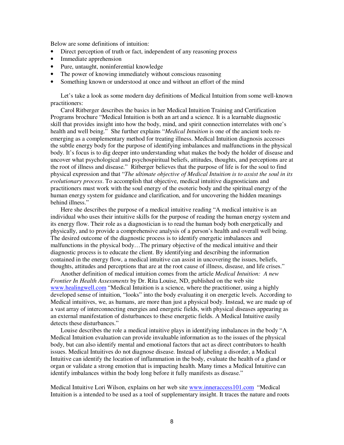Below are some definitions of intuition:

- Direct perception of truth or fact, independent of any reasoning process
- Immediate apprehension
- Pure, untaught, noninferential knowledge
- The power of knowing immediately without conscious reasoning
- Something known or understood at once and without an effort of the mind

Let's take a look as some modern day definitions of Medical Intuition from some well-known practitioners:

Carol Ritberger describes the basics in her Medical Intuition Training and Certification Programs brochure "Medical Intuition is both an art and a science. It is a learnable diagnostic skill that provides insight into how the body, mind, and spirit connection interrelates with one's health and well being." She further explains "*Medical Intuition* is one of the ancient tools reemerging as a complementary method for treating illness. Medical Intuition diagnosis accesses the subtle energy body for the purpose of identifying imbalances and malfunctions in the physical body. It's focus is to dig deeper into understanding what makes the body the holder of disease and uncover what psychological and psychospiritual beliefs, attitudes, thoughts, and perceptions are at the root of illness and disease." Ritberger believes that the purpose of life is for the soul to find physical expression and that "*The ultimate objective of Medical Intuition is to assist the soul in its evolutionary process*. To accomplish that objective, medical intuitive diagnosticians and practitioners must work with the soul energy of the esoteric body and the spiritual energy of the human energy system for guidance and clarification, and for uncovering the hidden meanings behind illness."

Here she describes the purpose of a medical intuitive reading "A medical intuitive is an individual who uses their intuitive skills for the purpose of reading the human energy system and its energy flow. Their role as a diagnostician is to read the human body both energetically and physically, and to provide a comprehensive analysis of a person's health and overall well being. The desired outcome of the diagnostic process is to identify energetic imbalances and malfunctions in the physical body…The primary objective of the medical intuitive and their diagnostic process is to educate the client. By identifying and describing the information contained in the energy flow, a medical intuitive can assist in uncovering the issues, beliefs, thoughts, attitudes and perceptions that are at the root cause of illness, disease, and life crises."

Another definition of medical intuition comes from the article *Medical Intuition: A new Frontier In Health Assessments* by Dr. Rita Louise, ND, published on the web site www.healingwell.com "Medical Intuition is a science, where the practitioner, using a highly developed sense of intuition, "looks" into the body evaluating it on energetic levels. According to Medical intuitives, we, as humans, are more than just a physical body. Instead, we are made up of a vast array of interconnecting energies and energetic fields, with physical diseases appearing as an external manifestation of disturbances to these energetic fields. A Medical Intuitive easily detects these disturbances."

Louise describes the role a medical intuitive plays in identifying imbalances in the body "A Medical Intuition evaluation can provide invaluable information as to the issues of the physical body, but can also identify mental and emotional factors that act as direct contributors to health issues. Medical Intuitives do not diagnose disease. Instead of labeling a disorder, a Medical Intuitive can identify the location of inflammation in the body, evaluate the health of a gland or organ or validate a strong emotion that is impacting health. Many times a Medical Intuitive can identify imbalances within the body long before it fully manifests as disease."

Medical Intuitive Lori Wilson, explains on her web site www.inneraccess101.com "Medical Intuition is a intended to be used as a tool of supplementary insight. It traces the nature and roots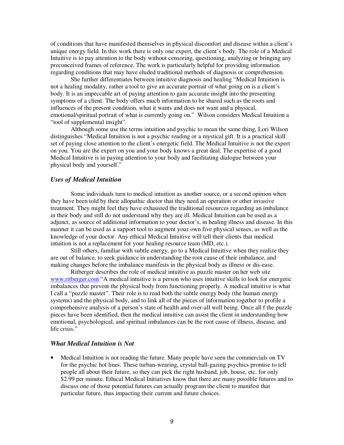of conditions that have manifested themselves in physical discomfort and disease within a client's unique energy field. In this work there is only one expert, the client's body. The role of a Medical Intuitive is to pay attention to the body without censoring, questioning, analyzing or bringing any preconceived frames of reference. The work is particularly helpful for providing information regarding conditions that may have eluded traditional methods of diagnosis or comprehension.

She further differentiates between intuitive diagnosis and healing "Medical Intuition is not a healing modality, rather a tool to give an accurate portrait of what going on is a client's body. It is an impeccable art of paying attention to gain accurate insight into the presenting symptoms of a client. The body offers much information to be shared such as the roots and influences of the present condition, what it wants and does not want and a physical, emotional/spiritual portrait of what is currently going on." Wilson considers Medical Intuition a "tool of supplemental insight".

Although some use the terms intuition and psychic to mean the same thing, Lori Wilson distinguishes "Medical Intuition is not a psychic reading or a mystical gift. It is a practical skill set of paying close attention to the client's energetic field. The Medical Intuitive is not the expert on you. You are the expert on you and your body knows a great deal. The expertise of a good Medical Intuitive is in paying attention to your body and facilitating dialogue between your physical body and yourself."

#### *Uses of Medical Intuition*

Some individuals turn to medical intuition as another source, or a second opinion when they have been told by their allopathic doctor that they need an operation or other invasive treatment. They might feel they have exhausted the traditional resources regarding an imbalance in their body and still do not understand why they are ill. Medical Intuition can be used as a adjunct, as source of additional information to your doctor's, in healing illness and disease. In this manner it can be used as a support tool to augment your own five physical senses, as well as the knowledge of your doctor. Any ethical Medical Intuitive will tell their clients that medical intuition is not a replacement for your healing resource team (MD, etc.).

Still others, familiar with subtle energy, go to a Medical Intuitive when they realize they are out of balance, to seek guidance in understanding the root cause of their imbalance, and making changes before the imbalance manifests in the physical body as illness or dis-ease.

Ritberger describes the role of medical intuitive as puzzle master on her web site www.ritberger.com "A medical intuitive is a person who uses intuitive skills to look for energetic imbalances that prevent the physical body from functioning properly. A medical intuitive is what I call a "puzzle master". Their role is to read both the subtle energy body (the human energy systems) and the physical body, and to link all of the pieces of information together to profile a comprehensive analysis of a person's state of health and over-all well being. Once all f the puzzle pieces have been identified, then the medical intuitive can assist the client in understanding how emotional, psychological, and spiritual imbalances can be the root cause of illness, disease, and life crisis."

## *What Medical Intuition is Not*

• Medical Intuition is not reading the future. Many people have seen the commercials on TV for the psychic hot lines. These turban-wearing, crystal ball-gazing psychics promise to tell people all about their future, so they can pick the right husband, job, house, etc. for only \$2.99 per minute. Ethical Medical Initiatives know that there are many possible futures and to discuss one of those potential futures can actually program the client to manifest that particular future, thus impacting their current and future choices.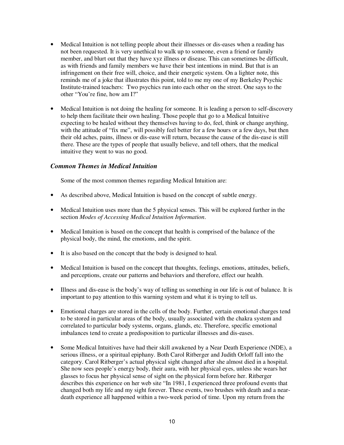- Medical Intuition is not telling people about their illnesses or dis-eases when a reading has not been requested. It is very unethical to walk up to someone, even a friend or family member, and blurt out that they have xyz illness or disease. This can sometimes be difficult, as with friends and family members we have their best intentions in mind. But that is an infringement on their free will, choice, and their energetic system. On a lighter note, this reminds me of a joke that illustrates this point, told to me my one of my Berkeley Psychic Institute-trained teachers: Two psychics run into each other on the street. One says to the other "You're fine, how am I?"
- Medical Intuition is not doing the healing for someone. It is leading a person to self-discovery to help them facilitate their own healing. Those people that go to a Medical Intuitive expecting to be healed without they themselves having to do, feel, think or change anything, with the attitude of "fix me", will possibly feel better for a few hours or a few days, but then their old aches, pains, illness or dis-ease will return, because the cause of the dis-ease is still there. These are the types of people that usually believe, and tell others, that the medical intuitive they went to was no good.

## *Common Themes in Medical Intuition*

Some of the most common themes regarding Medical Intuition are:

- As described above, Medical Intuition is based on the concept of subtle energy.
- Medical Intuition uses more than the 5 physical senses. This will be explored further in the section *Modes of Accessing Medical Intuition Information*.
- Medical Intuition is based on the concept that health is comprised of the balance of the physical body, the mind, the emotions, and the spirit.
- It is also based on the concept that the body is designed to heal.
- Medical Intuition is based on the concept that thoughts, feelings, emotions, attitudes, beliefs, and perceptions, create our patterns and behaviors and therefore, effect our health.
- Illness and dis-ease is the body's way of telling us something in our life is out of balance. It is important to pay attention to this warning system and what it is trying to tell us.
- Emotional charges are stored in the cells of the body. Further, certain emotional charges tend to be stored in particular areas of the body, usually associated with the chakra system and correlated to particular body systems, organs, glands, etc. Therefore, specific emotional imbalances tend to create a predisposition to particular illnesses and dis-eases.
- Some Medical Intuitives have had their skill awakened by a Near Death Experience (NDE), a serious illness, or a spiritual epiphany. Both Carol Ritberger and Judith Orloff fall into the category. Carol Ritberger's actual physical sight changed after she almost died in a hospital. She now sees people's energy body, their aura, with her physical eyes, unless she wears her glasses to focus her physical sense of sight on the physical form before her. Ritberger describes this experience on her web site "In 1981, I experienced three profound events that changed both my life and my sight forever. These events, two brushes with death and a neardeath experience all happened within a two-week period of time. Upon my return from the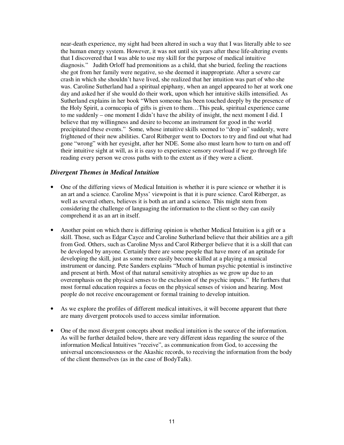near-death experience, my sight had been altered in such a way that I was literally able to see the human energy system. However, it was not until six years after these life-altering events that I discovered that I was able to use my skill for the purpose of medical intuitive diagnosis." Judith Orloff had premonitions as a child, that she buried, feeling the reactions she got from her family were negative, so she deemed it inappropriate. After a severe car crash in which she shouldn't have lived, she realized that her intuition was part of who she was. Caroline Sutherland had a spiritual epiphany, when an angel appeared to her at work one day and asked her if she would do their work, upon which her intuitive skills intensified. As Sutherland explains in her book "When someone has been touched deeply by the presence of the Holy Spirit, a cornucopia of gifts is given to them…This peak, spiritual experience came to me suddenly – one moment I didn't have the ability of insight, the next moment I did. I believe that my willingness and desire to become an instrument for good in the world precipitated these events." Some, whose intuitive skills seemed to "drop in" suddenly, were frightened of their new abilities. Carol Ritberger went to Doctors to try and find out what had gone "wrong" with her eyesight, after her NDE. Some also must learn how to turn on and off their intuitive sight at will, as it is easy to experience sensory overload if we go through life reading every person we cross paths with to the extent as if they were a client.

## *Divergent Themes in Medical Intuition*

- One of the differing views of Medical Intuition is whether it is pure science or whether it is an art and a science. Caroline Myss' viewpoint is that it is pure science. Carol Ritberger, as well as several others, believes it is both an art and a science. This might stem from considering the challenge of languaging the information to the client so they can easily comprehend it as an art in itself.
- Another point on which there is differing opinion is whether Medical Intuition is a gift or a skill. Those, such as Edgar Cayce and Caroline Sutherland believe that their abilities are a gift from God. Others, such as Caroline Myss and Carol Ritberger believe that it is a skill that can be developed by anyone. Certainly there are some people that have more of an aptitude for developing the skill, just as some more easily become skilled at a playing a musical instrument or dancing. Pete Sanders explains "Much of human psychic potential is instinctive and present at birth. Most of that natural sensitivity atrophies as we grow up due to an overemphasis on the physical senses to the exclusion of the psychic inputs." He furthers that most formal education requires a focus on the physical senses of vision and hearing. Most people do not receive encouragement or formal training to develop intuition.
- As we explore the profiles of different medical intuitives, it will become apparent that there are many divergent protocols used to access similar information.
- One of the most divergent concepts about medical intuition is the source of the information. As will be further detailed below, there are very different ideas regarding the source of the information Medical Intuitives "receive", as communication from God, to accessing the universal unconsciousness or the Akashic records, to receiving the information from the body of the client themselves (as in the case of BodyTalk).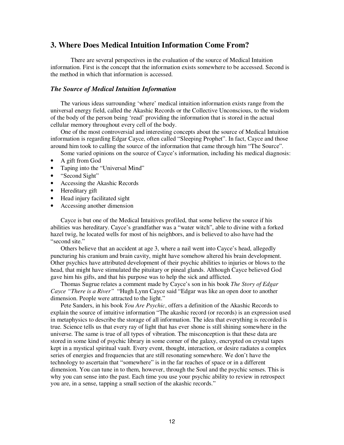## **3. Where Does Medical Intuition Information Come From?**

There are several perspectives in the evaluation of the source of Medical Intuition information. First is the concept that the information exists somewhere to be accessed. Second is the method in which that information is accessed.

#### *The Source of Medical Intuition Information*

The various ideas surrounding 'where' medical intuition information exists range from the universal energy field, called the Akashic Records or the Collective Unconscious, to the wisdom of the body of the person being 'read' providing the information that is stored in the actual cellular memory throughout every cell of the body.

One of the most controversial and interesting concepts about the source of Medical Intuition information is regarding Edgar Cayce, often called "Sleeping Prophet". In fact, Cayce and those around him took to calling the source of the information that came through him "The Source".

Some varied opinions on the source of Cayce's information, including his medical diagnosis:

- A gift from God
- Taping into the "Universal Mind"
- "Second Sight"
- Accessing the Akashic Records
- Hereditary gift
- Head injury facilitated sight
- Accessing another dimension

Cayce is but one of the Medical Intuitives profiled, that some believe the source if his abilities was hereditary. Cayce's grandfather was a "water witch", able to divine with a forked hazel twig, he located wells for most of his neighbors, and is believed to also have had the "second site."

Others believe that an accident at age 3, where a nail went into Cayce's head, allegedly puncturing his cranium and brain cavity, might have somehow altered his brain development. Other psychics have attributed development of their psychic abilities to injuries or blows to the head, that might have stimulated the pituitary or pineal glands. Although Cayce believed God gave him his gifts, and that his purpose was to help the sick and afflicted.

Thomas Sugrue relates a comment made by Cayce's son in his book *The Story of Edgar Cayce "There is a River"* "Hugh Lynn Cayce said "Edgar was like an open door to another dimension. People were attracted to the light."

Pete Sanders, in his book *You Are Psychic*, offers a definition of the Akashic Records to explain the source of intuitive information "The akashic record (or records) is an expression used in metaphysics to describe the storage of all information. The idea that everything is recorded is true. Science tells us that every ray of light that has ever shone is still shining somewhere in the universe. The same is true of all types of vibration. The misconception is that these data are stored in some kind of psychic library in some corner of the galaxy, encrypted on crystal tapes kept in a mystical spiritual vault. Every event, thought, interaction, or desire radiates a complex series of energies and frequencies that are still resonating somewhere. We don't have the technology to ascertain that "somewhere" is in the far reaches of space or in a different dimension. You can tune in to them, however, through the Soul and the psychic senses. This is why you can sense into the past. Each time you use your psychic ability to review in retrospect you are, in a sense, tapping a small section of the akashic records."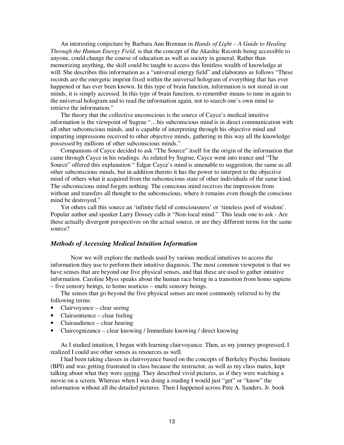An interesting conjecture by Barbara Ann Brennan in *Hands of Light – A Guide to Healing Through the Human Energy Field,* is that the concept of the Akashic Records being accessible to anyone, could change the course of education as well as society in general. Rather than memorizing anything, the skill could be taught to access this limitless wealth of knowledge at will. She describes this information as a "universal energy field" and elaborates as follows "These records are the energetic imprint fixed within the universal hologram of everything that has ever happened or has ever been known. In this type of brain function, information is not stored in our minds, it is simply accessed. In this type of brain function, to remember means to tune in again to the universal hologram and to read the information again, not to search one's own mind to retrieve the information."

The theory that the collective unconscious is the source of Cayce's medical intuitive information is the viewpoint of Sugrue "…his subconscious mind is in direct communication with all other subconscious minds, and is capable of interpreting through his objective mind and imparting impressions received to other objective minds, gathering in this way all the knowledge possessed by millions of other subconscious minds."

Companions of Cayce decided to ask "The Source" itself for the origin of the information that came through Cayce in his readings. As related by Sugrue, Cayce went into trance and "The Source" offered this explanation " Edgar Cayce's mind is amenable to suggestion, the same as all other subconscious minds, but in addition thereto it has the power to interpret to the objective mind of others what it acquired from the subconscious state of other individuals of the same kind. The subconscious mind forgets nothing. The conscious mind receives the impression from without and transfers all thought to the subconscious, where it remains even though the conscious mind be destroyed."

Yet others call this source an 'infinite field of consciousness' or 'timeless pool of wisdom'. Popular author and speaker Larry Dossey calls it "Non-local mind." This leads one to ask - Are these actually divergent perspectives on the actual source, or are they different terms for the same source?

#### *Methods of Accessing Medical Intuition Information*

Now we will explore the methods used by various medical intuitives to access the information they use to perform their intuitive diagnosis. The most common viewpoint is that we have senses that are beyond our five physical senses, and that these are used to gather intuitive information. Caroline Myss speaks about the human race being in a transition from homo sapiens – five sensory beings, to homo noeticus – multi sensory beings.

The senses that go beyond the five physical senses are most commonly referred to by the following terms:

- Clairvoyance clear seeing
- Clairsentience clear feeling
- Clairaudience clear hearing
- Claircognizance clear knowing / Immediate knowing / direct knowing

As I studied intuition, I began with learning clairvoyance. Then, as my journey progressed, I realized I could use other senses as resources as well.

I had been taking classes in clairvoyance based on the concepts of Berkeley Psychic Institute (BPI) and was getting frustrated in class because the instructor, as well as my class mates, kept talking about what they were seeing. They described vivid pictures, as if they were watching a movie on a screen. Whereas when I was doing a reading I would just "get" or "know" the information without all the detailed pictures. Then I happened across Pete A. Sanders, Jr. book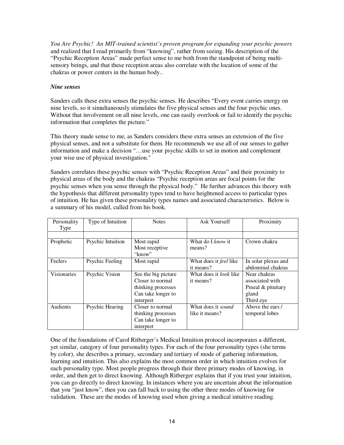*You Are Psychic! An MIT-trained scientist's proven program for expanding your psychic powers* and realized that I read primarily from "knowing", rather from seeing. His description of the "Psychic Reception Areas" made perfect sense to me both from the standpoint of being multisensory beings, and that these reception areas also correlate with the location of some of the chakras or power centers in the human body..

## *Nine senses*

Sanders calls these extra senses the psychic senses. He describes "Every event carries energy on nine levels, so it simultaneously stimulates the five physical senses and the four psychic ones. Without that involvement on all nine levels, one can easily overlook or fail to identify the psychic information that completes the picture."

This theory made sense to me, as Sanders considers these extra senses an extension of the five physical senses, and not a substitute for them. He recommends we use all of our senses to gather information and make a decision "…use your psychic skills to set in motion and complement your wise use of physical investigation."

Sanders correlates these psychic senses with "Psychic Reception Areas" and their proximity to physical areas of the body and the chakras "Psychic reception areas are focal points for the psychic senses when you sense through the physical body." He further advances this theory with the hypothesis that different personality types tend to have heightened access to particular types of intuition. He has given these personality types names and associated characteristics. Below is a summary of his model, culled from his book.

| Personality<br>Type | Type of Intuition | <b>Notes</b>                                                                                     | Ask Yourself                                | Proximity                                                                     |
|---------------------|-------------------|--------------------------------------------------------------------------------------------------|---------------------------------------------|-------------------------------------------------------------------------------|
|                     |                   |                                                                                                  |                                             |                                                                               |
| Prophetic           | Psychic Intuition | Most rapid<br>Most receptive<br>"know"                                                           | What do I know it<br>means?                 | Crown chakra                                                                  |
| <b>Feelers</b>      | Psychic Feeling   | Most rapid                                                                                       | What does it <i>feel</i> like<br>it means?  | In solar plexus and<br>abdominal chakras                                      |
| Visionaries         | Psychic Vision    | See the big picture<br>Closer to normal<br>thinking processes<br>Can take longer to<br>interpret | What does it <i>look</i> like<br>it means?  | Near chakras<br>associated with<br>Pineal $&$ pituitary<br>gland<br>Third eye |
| Audients            | Psychic Hearing   | Closer to normal<br>thinking processes<br>Can take longer to<br>interpret                        | What does it <i>sound</i><br>like it means? | Above the ears /<br>temporal lobes                                            |

One of the foundations of Carol Ritberger's Medical Intuition protocol incorporates a different, yet similar, category of four personality types. For each of the four personality types (she terms by color), she describes a primary, secondary and tertiary of mode of gathering information, learning and intuition. This also explains the most common order in which intuition evolves for each personality type. Most people progress through their three primary modes of knowing, in order, and then get to direct knowing. Although Ritberger explains that if you trust your intuition, you can go directly to direct knowing. In instances where you are uncertain about the information that you "just know", then you can fall back to using the other three modes of knowing for validation. These are the modes of knowing used when giving a medical intuitive reading.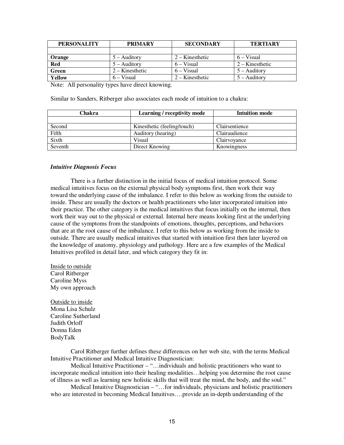| <b>PERSONALITY</b> | <b>PRIMARY</b>    | <b>SECONDARY</b>  | <b>TERTIARY</b>   |
|--------------------|-------------------|-------------------|-------------------|
|                    |                   |                   |                   |
| Orange             | $5 -$ Auditory    | $2 -$ Kinesthetic | 6 – Visual        |
| <b>Red</b>         | $5 -$ Auditory    | $6 - Visual$      | $2 -$ Kinesthetic |
| Green              | $2 -$ Kinesthetic | $6 - Visual$      | $5 -$ Auditory    |
| Yellow             | $6 - Visual$      | $2 -$ Kinesthetic | $5 -$ Auditory    |

Note: All personality types have direct knowing.

Similar to Sanders, Ritberger also associates each mode of intuition to a chakra:

| Chakra  | Learning / receptivity mode | <b>Intuition mode</b> |
|---------|-----------------------------|-----------------------|
|         |                             |                       |
| Second  | Kinesthetic (feeling/touch) | Clairsentience        |
| Fifth   | Auditory (hearing)          | Clairaudience         |
| Sixth   | Visual                      | Clairvoyance          |
| Seventh | Direct Knowing              | Knowingness           |

#### *Intuitive Diagnosis Focus*

There is a further distinction in the initial focus of medical intuition protocol. Some medical intuitives focus on the external physical body symptoms first, then work their way toward the underlying cause of the imbalance. I refer to this below as working from the outside to inside. These are usually the doctors or health practitioners who later incorporated intuition into their practice. The other category is the medical intuitives that focus initially on the internal, then work their way out to the physical or external. Internal here means looking first at the underlying cause of the symptoms from the standpoints of emotions, thoughts, perceptions, and behaviors that are at the root cause of the imbalance. I refer to this below as working from the inside to outside. There are usually medical intuitives that started with intuition first then later layered on the knowledge of anatomy, physiology and pathology. Here are a few examples of the Medical Intuitives profiled in detail later, and which category they fit in:

Inside to outside Carol Ritberger Caroline Myss My own approach

Outside to inside Mona Lisa Schulz Caroline Sutherland Judith Orloff Donna Eden BodyTalk

Carol Ritberger further defines these differences on her web site, with the terms Medical Intuitive Practitioner and Medical Intuitive Diagnostician:

Medical Intuitive Practitioner – "…individuals and holistic practitioners who want to incorporate medical intuition into their healing modalities…helping you determine the root cause of illness as well as learning new holistic skills that will treat the mind, the body, and the soul."

Medical Intuitive Diagnostician – "…for individuals, physicians and holistic practitioners who are interested in becoming Medical Intuitives….provide an in-depth understanding of the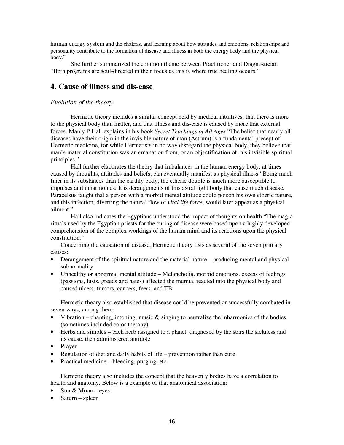human energy system and the chakras, and learning about how attitudes and emotions, relationships and personality contribute to the formation of disease and illness in both the energy body and the physical body."

She further summarized the common theme between Practitioner and Diagnostician "Both programs are soul-directed in their focus as this is where true healing occurs."

## **4. Cause of illness and dis-ease**

## *Evolution of the theory*

Hermetic theory includes a similar concept held by medical intuitives, that there is more to the physical body than matter, and that illness and dis-ease is caused by more that external forces. Manly P Hall explains in his book *Secret Teachings of All Ages* "The belief that nearly all diseases have their origin in the invisible nature of man (Astrum) is a fundamental precept of Hermetic medicine, for while Hermetists in no way disregard the physical body, they believe that man's material constitution was an emanation from, or an objectification of, his invisible spiritual principles."

Hall further elaborates the theory that imbalances in the human energy body, at times caused by thoughts, attitudes and beliefs, can eventually manifest as physical illness "Being much finer in its substances than the earthly body, the etheric double is much more susceptible to impulses and inharmonies. It is derangements of this astral light body that cause much disease. Paracelsus taught that a person with a morbid mental attitude could poison his own etheric nature, and this infection, diverting the natural flow of *vital life force*, would later appear as a physical ailment."

Hall also indicates the Egyptians understood the impact of thoughts on health "The magic rituals used by the Egyptian priests for the curing of disease were based upon a highly developed comprehension of the complex workings of the human mind and its reactions upon the physical constitution."

Concerning the causation of disease, Hermetic theory lists as several of the seven primary causes:

- Derangement of the spiritual nature and the material nature producing mental and physical subnormality
- Unhealthy or abnormal mental attitude Melancholia, morbid emotions, excess of feelings (passions, lusts, greeds and hates) affected the mumia, reacted into the physical body and caused ulcers, tumors, cancers, feers, and TB

Hermetic theory also established that disease could be prevented or successfully combated in seven ways, among them:

- Vibration chanting, intoning, music  $\&$  singing to neutralize the inharmonies of the bodies (sometimes included color therapy)
- Herbs and simples each herb assigned to a planet, diagnosed by the stars the sickness and its cause, then administered antidote
- Prayer
- Regulation of diet and daily habits of life prevention rather than cure
- Practical medicine bleeding, purging, etc.

Hermetic theory also includes the concept that the heavenly bodies have a correlation to health and anatomy. Below is a example of that anatomical association:

- Sun & Moon eyes
- Saturn spleen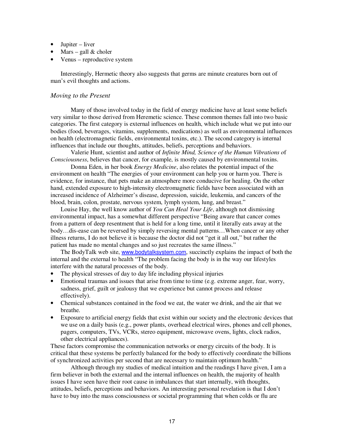- Jupiter liver
- Mars gall  $&$  choler
- Venus reproductive system

Interestingly, Hermetic theory also suggests that germs are minute creatures born out of man's evil thoughts and actions.

## *Moving to the Present*

Many of those involved today in the field of energy medicine have at least some beliefs very similar to those derived from Heremetic science. These common themes fall into two basic categories. The first category is external influences on health, which include what we put into our bodies (food, beverages, vitamins, supplements, medications) as well as environmental influences on health (electromagnetic fields, environmental toxins, etc.). The second category is internal influences that include our thoughts, attitudes, beliefs, perceptions and behaviors.

Valerie Hunt, scientist and author of *Infinite Mind, Science of the Human Vibrations o*f *Consciousness*, believes that cancer, for example, is mostly caused by environmental toxins.

Donna Eden, in her book *Energy Medicine*, also relates the potential impact of the environment on health "The energies of your environment can help you or harm you. There is evidence, for instance, that pets make an atmosphere more conducive for healing. On the other hand, extended exposure to high-intensity electromagnetic fields have been associated with an increased incidence of Alzheimer's disease, depression, suicide, leukemia, and cancers of the blood, brain, colon, prostate, nervous system, lymph system, lung, and breast."

Louise Hay, the well know author of *You Can Heal Your Life*, although not dismissing environmental impact, has a somewhat different perspective "Being aware that cancer comes from a pattern of deep resentment that is held for a long time, until it literally eats away at the body…dis-ease can be reversed by simply reversing mental patterns…When cancer or any other illness returns, I do not believe it is because the doctor did not "get it all out," but rather the patient has made no mental changes and so just recreates the same illness."

The BodyTalk web site, www.bodytalksystem.com, succinctly explains the impact of both the internal and the external to health "The problem facing the body is in the way our lifestyles interfere with the natural processes of the body.

- The physical stresses of day to day life including physical injuries
- Emotional traumas and issues that arise from time to time (e.g. extreme anger, fear, worry, sadness, grief, guilt or jealousy that we experience but cannot process and release effectively).
- Chemical substances contained in the food we eat, the water we drink, and the air that we breathe.
- Exposure to artificial energy fields that exist within our society and the electronic devices that we use on a daily basis (e.g., power plants, overhead electrical wires, phones and cell phones, pagers, computers, TVs, VCRs, stereo equipment, microwave ovens, lights, clock radios, other electrical appliances).

These factors compromise the communication networks or energy circuits of the body. It is critical that these systems be perfectly balanced for the body to effectively coordinate the billions of synchronized activities per second that are necessary to maintain optimum health."

Although through my studies of medical intuition and the readings I have given, I am a firm believer in both the external and the internal influences on health, the majority of health issues I have seen have their root cause in imbalances that start internally, with thoughts, attitudes, beliefs, perceptions and behaviors. An interesting personal revelation is that I don't have to buy into the mass consciousness or societal programming that when colds or flu are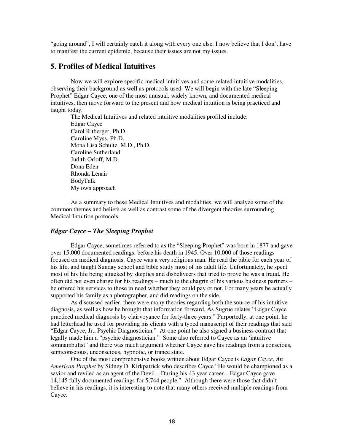"going around", I will certainly catch it along with every one else. I now believe that I don't have to manifest the current epidemic, because their issues are not my issues.

## **5. Profiles of Medical Intuitives**

Now we will explore specific medical intuitives and some related intuitive modalities, observing their background as well as protocols used. We will begin with the late "Sleeping Prophet" Edgar Cayce, one of the most unusual, widely known, and documented medical intuitives, then move forward to the present and how medical intuition is being practiced and taught today.

The Medical Intuitives and related intuitive modalities profiled include: Edgar Cayce Carol Ritberger, Ph.D. Caroline Myss, Ph.D. Mona Lisa Schultz, M.D., Ph.D. Caroline Sutherland Judith Orloff, M.D. Dona Eden Rhonda Lenair BodyTalk My own approach

As a summary to these Medical Intuitives and modalities, we will analyze some of the common themes and beliefs as well as contrast some of the divergent theories surrounding Medical Intuition protocols.

## *Edgar Cayce – The Sleeping Prophet*

Edgar Cayce, sometimes referred to as the "Sleeping Prophet" was born in 1877 and gave over 15,000 documented readings, before his death in 1945. Over 10,000 of those readings focused on medical diagnosis. Cayce was a very religious man. He read the bible for each year of his life, and taught Sunday school and bible study most of his adult life. Unfortunately, he spent most of his life being attacked by skeptics and disbeliveers that tried to prove he was a fraud. He often did not even charge for his readings – much to the chagrin of his various business partners – he offered his services to those in need whether they could pay or not. For many years he actually supported his family as a photographer, and did readings on the side.

As discussed earlier, there were many theories regarding both the source of his intuitive diagnosis, as well as how he brought that information forward. As Sugrue relates "Edgar Cayce practiced medical diagnosis by clairvoyance for forty-three years." Purportedly, at one point, he had letterhead he used for providing his clients with a typed manuscript of their readings that said "Edgar Cayce, Jr., Psychic Diagnostician." At one point he also signed a business contract that legally made him a "psychic diagnostician." Some also referred to Cayce as an 'intuitive somnambulist" and there was much argument whether Cayce gave his readings from a conscious, semiconscious, unconscious, hypnotic, or trance state.

One of the most comprehensive books written about Edgar Cayce is *Edgar Cayce, An American Prophet* by Sidney D. Kirkpatrick who describes Cayce "He would be championed as a savior and reviled as an agent of the Devil…During his 43 year career…Edgar Cayce gave 14,145 fully documented readings for 5,744 people." Although there were those that didn't believe in his readings, it is interesting to note that many others received multiple readings from Cayce.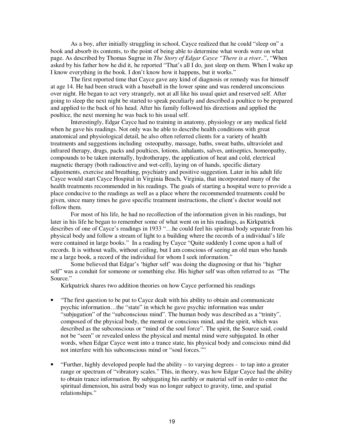As a boy, after initially struggling in school, Cayce realized that he could "sleep on" a book and absorb its contents, to the point of being able to determine what words were on what page. As described by Thomas Sugrue in *The Story of Edgar Cayce "There is a river..*", "When asked by his father how he did it, he reported "That's all I do, just sleep on them. When I wake up I know everything in the book. I don't know how it happens, but it works."

The first reported time that Cayce gave any kind of diagnosis or remedy was for himself at age 14. He had been struck with a baseball in the lower spine and was rendered unconscious over night. He began to act very strangely, not at all like his usual quiet and reserved self. After going to sleep the next night be started to speak peculiarly and described a poultice to be prepared and applied to the back of his head. After his family followed his directions and applied the poultice, the next morning he was back to his usual self.

Interestingly, Edgar Cayce had no training in anatomy, physiology or any medical field when he gave his readings. Not only was he able to describe health conditions with great anatomical and physiological detail, he also often referred clients for a variety of health treatments and suggestions including osteopathy, massage, baths, sweat baths, ultraviolet and infrared therapy, drugs, packs and poultices, lotions, inhalants, salves, antiseptics, homeopathy, compounds to be taken internally, hydrotherapy, the application of heat and cold, electrical magnetic therapy (both radioactive and wet-cell), laying on of hands, specific dietary adjustments, exercise and breathing, psychiatry and positive suggestion. Later in his adult life Cayce would start Cayce Hospital in Virginia Beach, Virginia, that incorporated many of the health treatments recommended in his readings. The goals of starting a hospital were to provide a place conducive to the readings as well as a place where the recommended treatments could be given, since many times he gave specific treatment instructions, the client's doctor would not follow them.

For most of his life, he had no recollection of the information given in his readings, but later in his life he began to remember some of what went on in his readings, as Kirkpatrick describes of one of Cayce's readings in 1933 "…he could feel his spiritual body separate from his physical body and follow a stream of light to a building where the records of a individual's life were contained in large books." In a reading by Cayce "Quite suddenly I come upon a hall of records. It is without walls, without ceiling, but I am conscious of seeing an old man who hands me a large book, a record of the individual for whom I seek information."

Some believed that Edgar's 'higher self' was doing the diagnosing or that his "higher self" was a conduit for someone or something else. His higher self was often referred to as "The Source."

Kirkpatrick shares two addition theories on how Cayce performed his readings

- "The first question to be put to Cayce dealt with his ability to obtain and communicate psychic information…the "state" in which he gave psychic information was under "subjugation" of the "subconscious mind". The human body was described as a "trinity", composed of the physical body, the mental or conscious mind, and the spirit, which was described as the subconscious or "mind of the soul force". The spirit, the Source said, could not be "seen" or revealed unless the physical and mental mind were subjugated. In other words, when Edgar Cayce went into a trance state, his physical body and conscious mind did not interfere with his subconscious mind or "soul forces.""
- "Further, highly developed people had the ability to varying degrees to tap into a greater range or spectrum of "vibratory scales." This, in theory, was how Edgar Cayce had the ability to obtain trance information. By subjugating his earthly or material self in order to enter the spiritual dimension, his astral body was no longer subject to gravity, time, and spatial relationships."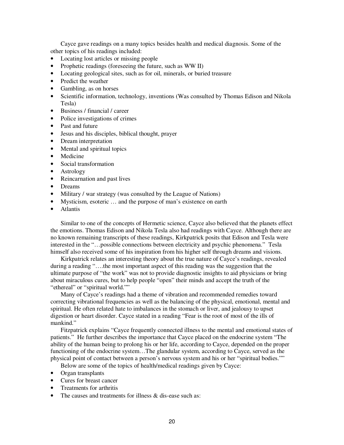Cayce gave readings on a many topics besides health and medical diagnosis. Some of the other topics of his readings included:

- Locating lost articles or missing people
- Prophetic readings (foreseeing the future, such as WW II)
- Locating geological sites, such as for oil, minerals, or buried treasure
- Predict the weather
- Gambling, as on horses
- Scientific information, technology, inventions (Was consulted by Thomas Edison and Nikola Tesla)
- Business / financial / career
- Police investigations of crimes
- Past and future
- Jesus and his disciples, biblical thought, prayer
- Dream interpretation
- Mental and spiritual topics
- Medicine
- Social transformation
- Astrology
- Reincarnation and past lives
- Dreams
- Military / war strategy (was consulted by the League of Nations)
- Mysticism, esoteric ... and the purpose of man's existence on earth
- Atlantis

Similar to one of the concepts of Hermetic science, Cayce also believed that the planets effect the emotions. Thomas Edison and Nikola Tesla also had readings with Cayce. Although there are no known remaining transcripts of these readings, Kirkpatrick posits that Edison and Tesla were interested in the "…possible connections between electricity and psychic phenomena." Tesla himself also received some of his inspiration from his higher self through dreams and visions.

Kirkpatrick relates an interesting theory about the true nature of Cayce's readings, revealed during a reading "….the most important aspect of this reading was the suggestion that the ultimate purpose of "the work" was not to provide diagnostic insights to aid physicians or bring about miraculous cures, but to help people "open" their minds and accept the truth of the "ethereal" or "spiritual world.""

Many of Cayce's readings had a theme of vibration and recommended remedies toward correcting vibrational frequencies as well as the balancing of the physical, emotional, mental and spiritual. He often related hate to imbalances in the stomach or liver, and jealousy to upset digestion or heart disorder. Cayce stated in a reading "Fear is the root of most of the ills of mankind."

Fitzpatrick explains "Cayce frequently connected illness to the mental and emotional states of patients." He further describes the importance that Cayce placed on the endocrine system "The ability of the human being to prolong his or her life, according to Cayce, depended on the proper functioning of the endocrine system…The glandular system, according to Cayce, served as the physical point of contact between a person's nervous system and his or her "spiritual bodies.""

Below are some of the topics of health/medical readings given by Cayce:

- Organ transplants
- Cures for breast cancer
- Treatments for arthritis
- The causes and treatments for illness & dis-ease such as: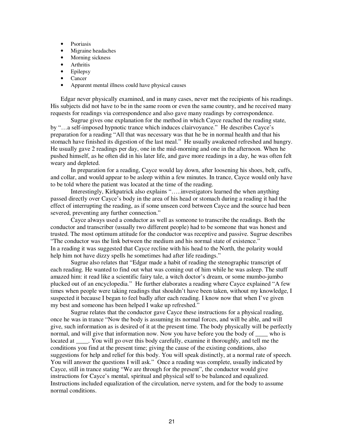- Psoriasis
- Migraine headaches
- Morning sickness
- Arthritis
- Epilepsy
- Cancer
- Apparent mental illness could have physical causes

Edgar never physically examined, and in many cases, never met the recipients of his readings. His subjects did not have to be in the same room or even the same country, and he received many requests for readings via correspondence and also gave many readings by correspondence.

Sugrue gives one explanation for the method in which Cayce reached the reading state, by "…a self-imposed hypnotic trance which induces clairvoyance." He describes Cayce's preparation for a reading "All that was necessary was that he be in normal health and that his stomach have finished its digestion of the last meal." He usually awakened refreshed and hungry. He usually gave 2 readings per day, one in the mid-morning and one in the afternoon. When he pushed himself, as he often did in his later life, and gave more readings in a day, he was often felt weary and depleted.

In preparation for a reading, Cayce would lay down, after loosening his shoes, belt, cuffs, and collar, and would appear to be asleep within a few minutes. In trance, Cayce would only have to be told where the patient was located at the time of the reading.

Interestingly, Kirkpatrick also explains "…..investigators learned the when anything passed directly over Cayce's body in the area of his head or stomach during a reading it had the effect of interrupting the reading, as if some unseen cord between Cayce and the source had been severed, preventing any further connection."

Cayce always used a conductor as well as someone to transcribe the readings. Both the conductor and transcriber (usually two different people) had to be someone that was honest and trusted. The most optimum attitude for the conductor was receptive and passive. Sugrue describes "The conductor was the link between the medium and his normal state of existence." In a reading it was suggested that Cayce recline with his head to the North, the polarity would help him not have dizzy spells he sometimes had after life readings."

Sugrue also relates that "Edgar made a habit of reading the stenographic transcript of each reading. He wanted to find out what was coming out of him while he was asleep. The stuff amazed him: it read like a scientific fairy tale, a witch doctor's dream, or some mumbo-jumbo plucked out of an encyclopedia." He further elaborates a reading where Cayce explained "A few times when people were taking readings that shouldn't have been taken, without my knowledge, I suspected it because I began to feel badly after each reading. I know now that when I've given my best and someone has been helped I wake up refreshed."

Sugrue relates that the conductor gave Cayce these instructions for a physical reading, once he was in trance "Now the body is assuming its normal forces, and will be able, and will give, such information as is desired of it at the present time. The body physically will be perfectly normal, and will give that information now. Now you have before you the body of who is located at . You will go over this body carefully, examine it thoroughly, and tell me the conditions you find at the present time; giving the cause of the existing conditions, also suggestions for help and relief for this body. You will speak distinctly, at a normal rate of speech. You will answer the questions I will ask." Once a reading was complete, usually indicated by Cayce, still in trance stating "We are through for the present", the conductor would give instructions for Cayce's mental, spiritual and physical self to be balanced and equalized. Instructions included equalization of the circulation, nerve system, and for the body to assume normal conditions.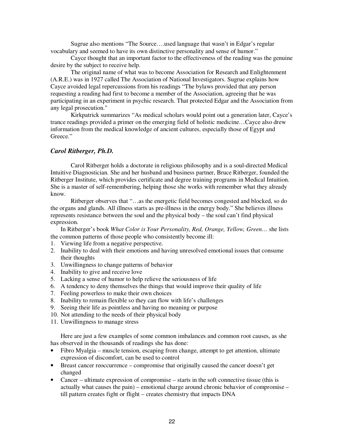Sugrue also mentions "The Source….used language that wasn't in Edgar's regular vocabulary and seemed to have its own distinctive personality and sense of humor."

Cayce thought that an important factor to the effectiveness of the reading was the genuine desire by the subject to receive help.

The original name of what was to become Association for Research and Enlightenment (A.R.E.) was in 1927 called The Association of National Investigators. Sugrue explains how Cayce avoided legal repercussions from his readings "The bylaws provided that any person requesting a reading had first to become a member of the Association, agreeing that he was participating in an experiment in psychic research. That protected Edgar and the Association from any legal prosecution."

Kirkpatrick summarizes "As medical scholars would point out a generation later, Cayce's trance readings provided a primer on the emerging field of holistic medicine…Cayce also drew information from the medical knowledge of ancient cultures, especially those of Egypt and Greece."

## *Carol Ritberger, Ph.D.*

Carol Ritberger holds a doctorate in religious philosophy and is a soul-directed Medical Intuitive Diagnostician. She and her husband and business partner, Bruce Ritberger, founded the Ritberger Institute, which provides certificate and degree training programs in Medical Intuition. She is a master of self-remembering, helping those she works with remember what they already know.

Ritberger observes that "…as the energetic field becomes congested and blocked, so do the organs and glands. All illness starts as pre-illness in the energy body." She believes illness represents resistance between the soul and the physical body – the soul can't find physical expression.

In Ritberger's book *What Color is Your Personality, Red, Orange, Yellow, Green…* she lists the common patterns of those people who consistently become ill:

- 1. Viewing life from a negative perspective.
- 2. Inability to deal with their emotions and having unresolved emotional issues that consume their thoughts
- 3. Unwillingness to change patterns of behavior
- 4. Inability to give and receive love
- 5. Lacking a sense of humor to help relieve the seriousness of life
- 6. A tendency to deny themselves the things that would improve their quality of life
- 7. Feeling powerless to make their own choices
- 8. Inability to remain flexible so they can flow with life's challenges
- 9. Seeing their life as pointless and having no meaning or purpose
- 10. Not attending to the needs of their physical body
- 11. Unwillingness to manage stress

Here are just a few examples of some common imbalances and common root causes, as she has observed in the thousands of readings she has done:

- Fibro Myalgia muscle tension, escaping from change, attempt to get attention, ultimate expression of discomfort, can be used to control
- Breast cancer reoccurrence compromise that originally caused the cancer doesn't get changed
- Cancer ultimate expression of compromise starts in the soft connective tissue (this is actually what causes the pain) – emotional charge around chronic behavior of compromise – till pattern creates fight or flight – creates chemistry that impacts DNA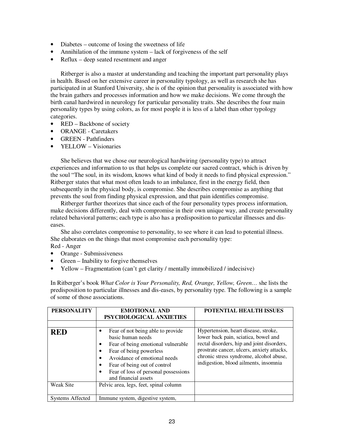- Diabetes outcome of losing the sweetness of life
- Annihilation of the immune system lack of forgiveness of the self
- Reflux deep seated resentment and anger

Ritberger is also a master at understanding and teaching the important part personality plays in health. Based on her extensive career in personality typology, as well as research she has participated in at Stanford University, she is of the opinion that personality is associated with how the brain gathers and processes information and how we make decisions. We come through the birth canal hardwired in neurology for particular personality traits. She describes the four main personality types by using colors, as for most people it is less of a label than other typology categories.

- RED Backbone of society
- ORANGE Caretakers
- GREEN Pathfinders
- YELLOW Visionaries

She believes that we chose our neurological hardwiring (personality type) to attract experiences and information to us that helps us complete our sacred contract, which is driven by the soul "The soul, in its wisdom, knows what kind of body it needs to find physical expression." Ritberger states that what most often leads to an imbalance, first in the energy field, then subsequently in the physical body, is compromise. She describes compromise as anything that prevents the soul from finding physical expression, and that pain identifies compromise.

Ritberger further theorizes that since each of the four personality types process information, make decisions differently, deal with compromise in their own unique way, and create personality related behavioral patterns; each type is also has a predisposition to particular illnesses and diseases.

She also correlates compromise to personality, to see where it can lead to potential illness. She elaborates on the things that most compromise each personality type:

Red - Anger

- Orange Submissiveness
- Green Inability to forgive themselves
- Yellow Fragmentation (can't get clarity / mentally immobilized / indecisive)

In Ritberger's book *What Color is Your Personality, Red, Orange, Yellow, Green…* she lists the predisposition to particular illnesses and dis-eases, by personality type. The following is a sample of some of those associations.

| <b>PERSONALITY</b>      | <b>EMOTIONAL AND</b><br>PSYCHOLOGICAL ANXIETIES                                                                                                                                                                                                                             | POTENTIAL HEALTH ISSUES                                                                                                                                                                                                                                      |
|-------------------------|-----------------------------------------------------------------------------------------------------------------------------------------------------------------------------------------------------------------------------------------------------------------------------|--------------------------------------------------------------------------------------------------------------------------------------------------------------------------------------------------------------------------------------------------------------|
|                         |                                                                                                                                                                                                                                                                             |                                                                                                                                                                                                                                                              |
| <b>RED</b>              | Fear of not being able to provide<br>basic human needs<br>Fear of being emotional vulnerable<br>٠<br>Fear of being powerless<br>٠<br>Avoidance of emotional needs<br>Fear of being out of control<br>٠<br>Fear of loss of personal possessions<br>٠<br>and financial assets | Hypertension, heart disease, stroke,<br>lower back pain, sciatica, bowel and<br>rectal disorders, hip and joint disorders,<br>prostrate cancer, ulcers, anxiety attacks,<br>chronic stress syndrome, alcohol abuse,<br>indigestion, blood ailments, insomnia |
| <b>Weak Site</b>        | Pelvic area, legs, feet, spinal column                                                                                                                                                                                                                                      |                                                                                                                                                                                                                                                              |
| <b>Systems Affected</b> | Immune system, digestive system,                                                                                                                                                                                                                                            |                                                                                                                                                                                                                                                              |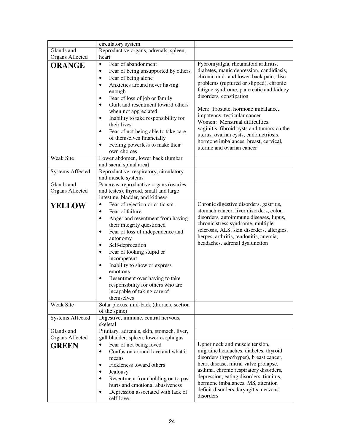|                                 | circulatory system                                                                                                                                                                                                                                                                                                                                                                                                                                                                                          |                                                                                                                                                                                                                                                                                                                                             |
|---------------------------------|-------------------------------------------------------------------------------------------------------------------------------------------------------------------------------------------------------------------------------------------------------------------------------------------------------------------------------------------------------------------------------------------------------------------------------------------------------------------------------------------------------------|---------------------------------------------------------------------------------------------------------------------------------------------------------------------------------------------------------------------------------------------------------------------------------------------------------------------------------------------|
| Glands and                      | Reproductive organs, adrenals, spleen,                                                                                                                                                                                                                                                                                                                                                                                                                                                                      |                                                                                                                                                                                                                                                                                                                                             |
| Organs Affected                 | heart                                                                                                                                                                                                                                                                                                                                                                                                                                                                                                       |                                                                                                                                                                                                                                                                                                                                             |
| <b>ORANGE</b>                   | Fear of abandonment<br>$\bullet$<br>Fear of being unsupported by others<br>Fear of being alone<br>٠<br>Anxieties around never having<br>$\bullet$<br>enough<br>Fear of loss of job or family<br>$\bullet$<br>Guilt and resentment toward others<br>٠                                                                                                                                                                                                                                                        | Fybromyalgia, rheumatoid arthritis,<br>diabetes, manic depression, candidiasis,<br>chronic mid- and lower-back pain, disc<br>problems (ruptured or slipped), chronic<br>fatigue syndrome, pancreatic and kidney<br>disorders, constipation<br>Men: Prostate, hormone imbalance,                                                             |
|                                 | when not appreciated<br>Inability to take responsibility for<br>$\bullet$<br>their lives<br>Fear of not being able to take care<br>٠<br>of themselves financially<br>Feeling powerless to make their<br>own choices                                                                                                                                                                                                                                                                                         | impotency, testicular cancer<br>Women: Menstrual difficulties,<br>vaginitis, fibroid cysts and tumors on the<br>uterus, ovarian cysts, endometriosis,<br>hormone imbalances, breast, cervical,<br>uterine and ovarian cancer                                                                                                                |
| <b>Weak Site</b>                | Lower abdomen, lower back (lumbar<br>and sacral spinal area)                                                                                                                                                                                                                                                                                                                                                                                                                                                |                                                                                                                                                                                                                                                                                                                                             |
| <b>Systems Affected</b>         | Reproductive, respiratory, circulatory<br>and muscle systems                                                                                                                                                                                                                                                                                                                                                                                                                                                |                                                                                                                                                                                                                                                                                                                                             |
| Glands and<br>Organs Affected   | Pancreas, reproductive organs (ovaries<br>and testes), thyroid, small and large<br>intestine, bladder, and kidneys                                                                                                                                                                                                                                                                                                                                                                                          |                                                                                                                                                                                                                                                                                                                                             |
| <b>YELLOW</b>                   | Fear of rejection or criticism<br>$\bullet$<br>Fear of failure<br>$\bullet$<br>Anger and resentment from having<br>$\bullet$<br>their integrity questioned<br>Fear of loss of independence and<br>$\bullet$<br>autonomy<br>Self-deprecation<br>$\bullet$<br>Fear of looking stupid or<br>$\bullet$<br>incompetent<br>Inability to show or express<br>$\bullet$<br>emotions<br>Resentment over having to take<br>$\bullet$<br>responsibility for others who are<br>incapable of taking care of<br>themselves | Chronic digestive disorders, gastritis,<br>stomach cancer, liver disorders, colon<br>disorders, autoimmune diseases, lupus,<br>chronic stress syndrome, multiple<br>sclerosis, ALS, skin disorders, allergies,<br>herpes, arthritis, tendonitis, anemia,<br>headaches, adrenal dysfunction                                                  |
| Weak Site                       | Solar plexus, mid-back (thoracic section<br>of the spine)                                                                                                                                                                                                                                                                                                                                                                                                                                                   |                                                                                                                                                                                                                                                                                                                                             |
| <b>Systems Affected</b>         | Digestive, immune, central nervous,<br>skeletal                                                                                                                                                                                                                                                                                                                                                                                                                                                             |                                                                                                                                                                                                                                                                                                                                             |
| Glands and                      | Pituitary, adrenals, skin, stomach, liver,                                                                                                                                                                                                                                                                                                                                                                                                                                                                  |                                                                                                                                                                                                                                                                                                                                             |
| Organs Affected<br><b>GREEN</b> | gall bladder, spleen, lower esophagus<br>Fear of not being loved<br>$\bullet$<br>Confusion around love and what it<br>$\bullet$<br>means<br>Fickleness toward others<br>$\bullet$<br>Jealousy<br>Resentment from holding on to past<br>hurts and emotional abusiveness<br>Depression associated with lack of<br>self-love                                                                                                                                                                                   | Upper neck and muscle tension,<br>migraine headaches, diabetes, thyroid<br>disorders (hypo/hyper), breast cancer,<br>heart disease, mitral valve prolapse,<br>asthma, chronic respiratory disorders,<br>depression, eating disorders, tinnitus,<br>hormone imbalances, MS, attention<br>deficit disorders, laryngitis, nervous<br>disorders |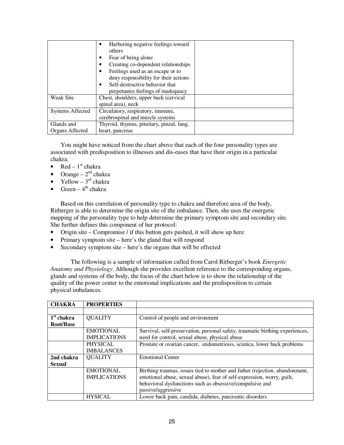|                         | Harboring negative feelings toward        |  |
|-------------------------|-------------------------------------------|--|
|                         | others                                    |  |
|                         | Fear of being alone<br>٠                  |  |
|                         | Creating co-dependent relationships<br>٠  |  |
|                         | Feelings used as an escape or to          |  |
|                         | deny responsibility for their actions     |  |
|                         | Self-destructive behavior that            |  |
|                         | perpetuates feelings of inadequacy        |  |
| <b>Weak Site</b>        | Chest, shoulders, upper back (cervical    |  |
|                         | spinal area), neck                        |  |
| <b>Systems Affected</b> | Circulatory, respiratory, immune,         |  |
|                         | cerebrospinal and muscle systems          |  |
| Glands and              | Thyroid, thymus, pituitary, pineal, lung, |  |
| Organs Affected         | heart, pancreas                           |  |

You might have noticed from the chart above that each of the four personality types are associated with predisposition to illnesses and dis-eases that have their origin in a particular chakra.

- Red  $1<sup>st</sup>$  chakra
- Orange  $2<sup>nd</sup>$  chakra<br>• Yellow  $3<sup>rd</sup>$  chakra
- Yellow  $-3^{rd}$  chakra
- Green  $4<sup>th</sup>$  chakra

Based on this correlation of personality type to chakra and therefore area of the body, Ritberger is able to determine the origin site of the imbalance. Then, she uses the energetic mapping of the personality type to help determine the primary symptom site and secondary site. She further defines this component of her protocol:

- Origin site Compromise / if this button gets pushed, it will show up here
- Primary symptom site here's the gland that will respond
- Secondary symptom site here's the organs that will be effected

The following is a sample of information culled from Carol Ritberger's book *Energetic Anatomy and Physiology*. Although she provides excellent reference to the corresponding organs, glands and systems of the body, the focus of the chart below is to show the relationship of the quality of the power center to the emotional implications and the predisposition to certain physical imbalances.

| <b>CHAKRA</b> | <b>PROPERTIES</b>   |                                                                               |
|---------------|---------------------|-------------------------------------------------------------------------------|
|               |                     |                                                                               |
| $1st$ chakra  | <b>QUALITY</b>      | Control of people and environment                                             |
| Root/Base     |                     |                                                                               |
|               | <b>EMOTIONAL</b>    | Survival, self-preservation, personal safety, traumatic birthing experiences, |
|               | <b>IMPLICATIONS</b> | need for control, sexual abuse, physical abuse                                |
|               | <b>PHYSICAL</b>     | Prostate or ovarian cancer, endometriosis, sciatica, lower back problems      |
|               | <b>IMBALANCES</b>   |                                                                               |
| 2nd chakra    | <b>QUALITY</b>      | <b>Emotional Center</b>                                                       |
| <b>Sexual</b> |                     |                                                                               |
|               | <b>EMOTIONAL</b>    | Birthing traumas, issues tied to mother and father (rejection, abandonment,   |
|               | <b>IMPLICATIONS</b> | emotional abuse, sexual abuse), fear of self-expression, worry, guilt,        |
|               |                     | behavioral dysfunctions such as obsessive/compulsive and                      |
|               |                     | passive/aggressive                                                            |
|               | <b>HYSICAL</b>      | Lower back pain, candida, diabetes, pancreatic disorders                      |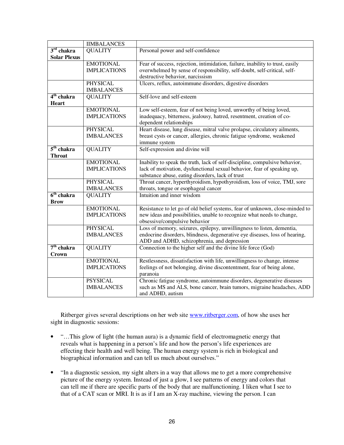|                        | <b>IIMBALANCES</b>  |                                                                                    |
|------------------------|---------------------|------------------------------------------------------------------------------------|
| $3rd$ chakra           | <b>QUALITY</b>      | Personal power and self-confidence                                                 |
| <b>Solar Plexus</b>    |                     |                                                                                    |
|                        | <b>EMOTIONAL</b>    | Fear of success, rejection, intimidation, failure, inability to trust, easily      |
|                        | <b>IMPLICATIONS</b> | overwhelmed by sense of responsibility, self-doubt, self-critical, self-           |
|                        |                     | destructive behavior, narcissism                                                   |
|                        | <b>PHYSICAL</b>     | Ulcers, reflux, autoimmune disorders, digestive disorders                          |
|                        | <b>IMBALANCES</b>   |                                                                                    |
| 4 <sup>th</sup> chakra | <b>QUALITY</b>      | Self-love and self-esteem                                                          |
| <b>Heart</b>           |                     |                                                                                    |
|                        | <b>EMOTIONAL</b>    | Low self-esteem, fear of not being loved, unworthy of being loved,                 |
|                        | <b>IMPLICATIONS</b> | inadequacy, bitterness, jealousy, hatred, resentment, creation of co-              |
|                        |                     | dependent relationships                                                            |
|                        | PHYSICAL            | Heart disease, lung disease, mitral valve prolapse, circulatory ailments,          |
|                        | <b>IMBALANCES</b>   | breast cysts or cancer, allergies, chronic fatigue syndrome, weakened              |
|                        |                     | immune system                                                                      |
| 5 <sup>th</sup> chakra | <b>QUALITY</b>      | Self-expression and divine will                                                    |
| <b>Throat</b>          |                     |                                                                                    |
|                        | <b>EMOTIONAL</b>    | Inability to speak the truth, lack of self-discipline, compulsive behavior,        |
|                        | <b>IMPLICATIONS</b> | lack of motivation, dysfunctional sexual behavior, fear of speaking up,            |
|                        |                     | substance abuse, eating disorders, lack of trust                                   |
|                        | <b>PHYSICAL</b>     | Throat cancer, hyperthyroidism, hypothyroidism, loss of voice, TMJ, sore           |
|                        | <b>IMBALANCES</b>   | throats, tongue or esophageal cancer                                               |
| 6 <sup>th</sup> chakra | <b>QUALITY</b>      | Intuition and inner wisdom                                                         |
| <b>Brow</b>            |                     |                                                                                    |
|                        | <b>EMOTIONAL</b>    | Resistance to let go of old belief systems, fear of unknown, close-minded to       |
|                        | <b>IMPLICATIONS</b> | new ideas and possibilities, unable to recognize what needs to change,             |
|                        |                     | obsessive/compulsive behavior                                                      |
|                        | <b>PHYSICAL</b>     | Loss of memory, seizures, epilepsy, unwillingness to listen, dementia,             |
|                        | <b>IMBALANCES</b>   | endocrine disorders, blindness, degenerative eye diseases, loss of hearing,        |
|                        |                     | ADD and ADHD, schizophrenia, and depression                                        |
| 7 <sup>th</sup> chakra | <b>QUALITY</b>      | Connection to the higher self and the divine life force (God)                      |
| <b>Crown</b>           |                     |                                                                                    |
|                        | <b>EMOTIONAL</b>    | Restlessness, dissatisfaction with life, unwillingness to change, intense          |
|                        | <b>IMPLICATIONS</b> | feelings of not belonging, divine discontentment, fear of being alone,<br>paranoia |
|                        | <b>PSYSICAL</b>     | Chronic fatigue syndrome, autoimmune disorders, degenerative diseases              |
|                        | <b>IMBALANCES</b>   | such as MS and ALS, bone cancer, brain tumors, migraine headaches, ADD             |
|                        |                     | and ADHD, autism                                                                   |

Ritberger gives several descriptions on her web site www.ritberger.com, of how she uses her sight in diagnostic sessions:

- "…This glow of light (the human aura) is a dynamic field of electromagnetic energy that reveals what is happening in a person's life and how the person's life experiences are effecting their health and well being. The human energy system is rich in biological and biographical information and can tell us much about ourselves."
- "In a diagnostic session, my sight alters in a way that allows me to get a more comprehensive picture of the energy system. Instead of just a glow, I see patterns of energy and colors that can tell me if there are specific parts of the body that are malfunctioning. I liken what I see to that of a CAT scan or MRI. It is as if I am an X-ray machine, viewing the person. I can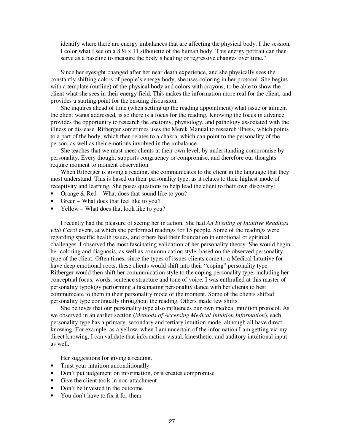identify where there are energy imbalances that are affecting the physical body. I the session, I color what I see on a  $8\frac{1}{2} \times 11$  silhouette of the human body. This energy portrait can then serve as a baseline to measure the body's healing or regressive changes over time."

Since her eyesight changed after her near death experience, and she physically sees the constantly shifting colors of people's energy body, she uses coloring in her protocol. She begins with a template (outline) of the physical body and colors with crayons, to be able to show the client what she sees in their energy field. This makes the information more real for the client, and provides a starting point for the ensuing discussion.

She inquires ahead of time (when setting up the reading appointment) what issue or ailment the client wants addressed, is so there is a focus for the reading. Knowing the focus in advance provides the opportunity to research the anatomy, physiology, and pathology associated with the illness or dis-ease. Ritberger sometimes uses the Merck Manual to research illness, which points to a part of the body, which then relates to a chakra, which can point to the personality of the person, as well as their emotions involved in the imbalance.

She teaches that we must meet clients at their own level, by understanding compromise by personality. Every thought supports congruency or compromise, and therefore our thoughts require moment to moment observation.

When Ritberger is giving a reading, she communicates to the client in the language that they most understand. This is based on their personality type, as it relates to their highest mode of receptivity and learning. She poses questions to help lead the client to their own discovery:

- Orange & Red What does that sound like to you?
- Green What does that feel like to you?
- Yellow What does that look like to you?

I recently had the pleasure of seeing her in action. She had *An Evening of Intuitive Readings with Carol* event, at which she performed readings for 15 people. Some of the readings were regarding specific health issues, and others had their foundation in emotional or spiritual challenges. I observed the most fascinating validation of her personality theory. She would begin her coloring and diagnosis, as well as communication style, based on the observed personality type of the client. Often times, since the types of issues clients come to a Medical Intuitive for have deep emotional roots, these clients would shift into their "coping" personality type. Ritberger would then shift her communication style to the coping personality type, including her conceptual focus, words, sentence structure and tone of voice. I was enthralled at this master of personality typology performing a fascinating personality dance with her clients to best communicate to them in their personality mode of the moment. Some of the clients shifted personality type continually throughout the reading. Others made few shifts.

She believes that our personality type also influences our own medical intuition protocol. As we observed in an earlier section (*Methods of Accessing Medical Intuition Information*), each personality type has a primary, secondary and tertiary intuition mode, although all have direct knowing. For example, as a yellow, when I am uncertain of the information I am getting via my direct knowing, I can validate that information visual, kinesthetic, and auditory intuitional input as well.

Her suggestions for giving a reading.

- Trust your intuition unconditionally
- Don't put judgement on information, or it creates compromise
- Give the client tools in non-attachment
- Don't be invested in the outcome
- You don't have to fix it for them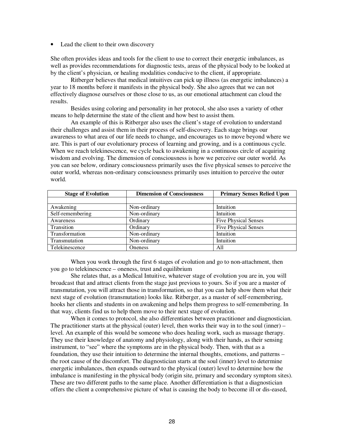• Lead the client to their own discovery

She often provides ideas and tools for the client to use to correct their energetic imbalances, as well as provides recommendations for diagnostic tests, areas of the physical body to be looked at by the client's physician, or healing modalities conducive to the client, if appropriate.

Ritberger believes that medical intuitives can pick up illness (as energetic imbalances) a year to 18 months before it manifests in the physical body. She also agrees that we can not effectively diagnose ourselves or those close to us, as our emotional attachment can cloud the results.

Besides using coloring and personality in her protocol, she also uses a variety of other means to help determine the state of the client and how best to assist them.

An example of this is Ritberger also uses the client's stage of evolution to understand their challenges and assist them in their process of self-discovery. Each stage brings our awareness to what area of our life needs to change, and encourages us to move beyond where we are. This is part of our evolutionary process of learning and growing, and is a continuous cycle. When we reach telekinescence, we cycle back to awakening in a continuous circle of acquiring wisdom and evolving. The dimension of consciousness is how we perceive our outer world. As you can see below, ordinary consciousness primarily uses the five physical senses to perceive the outer world, whereas non-ordinary consciousness primarily uses intuition to perceive the outer world.

| <b>Stage of Evolution</b> | <b>Dimension of Consciousness</b> | <b>Primary Senses Relied Upon</b> |
|---------------------------|-----------------------------------|-----------------------------------|
|                           |                                   |                                   |
| Awakening                 | Non-ordinary                      | Intuition                         |
| Self-remembering          | Non-ordinary                      | Intuition                         |
| Awareness                 | Ordinary                          | <b>Five Physical Senses</b>       |
| Transition                | Ordinary                          | <b>Five Physical Senses</b>       |
| Transformation            | Non-ordinary                      | Intuition                         |
| Transmutation             | Non-ordinary                      | Intuition                         |
| Telekinescence            | <b>Oneness</b>                    | All                               |

When you work through the first 6 stages of evolution and go to non-attachment, then you go to telekinescence – oneness, trust and equilibrium

She relates that, as a Medical Intuitive, whatever stage of evolution you are in, you will broadcast that and attract clients from the stage just previous to yours. So if you are a master of transmutation, you will attract those in transformation, so that you can help show them what their next stage of evolution (transmutation) looks like. Ritberger, as a master of self-remembering, hooks her clients and students in on awakening and helps them progress to self-remembering. In that way, clients find us to help them move to their next stage of evolution.

When it comes to protocol, she also differentiates between practitioner and diagnostician. The practitioner starts at the physical (outer) level, then works their way in to the soul (inner) – level. An example of this would be someone who does healing work, such as massage therapy. They use their knowledge of anatomy and physiology, along with their hands, as their sensing instrument, to "see" where the symptoms are in the physical body. Then, with that as a foundation, they use their intuition to determine the internal thoughts, emotions, and patterns – the root cause of the discomfort. The diagnostician starts at the soul (inner) level to determine energetic imbalances, then expands outward to the physical (outer) level to determine how the imbalance is manifesting in the physical body (origin site, primary and secondary symptom sites). These are two different paths to the same place. Another differentiation is that a diagnostician offers the client a comprehensive picture of what is causing the body to become ill or dis-eased,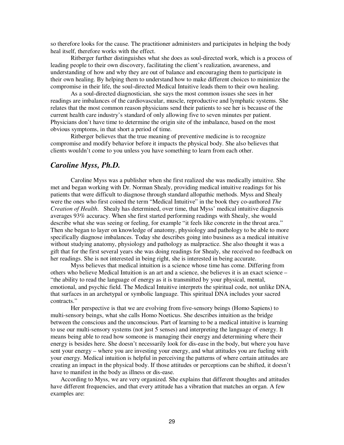so therefore looks for the cause. The practitioner administers and participates in helping the body heal itself, therefore works with the effect.

Ritberger further distinguishes what she does as soul-directed work, which is a process of leading people to their own discovery, facilitating the client's realization, awareness, and understanding of how and why they are out of balance and encouraging them to participate in their own healing. By helping them to understand how to make different choices to minimize the compromise in their life, the soul-directed Medical Intuitive leads them to their own healing.

As a soul-directed diagnostician, she says the most common issues she sees in her readings are imbalances of the cardiovascular, muscle, reproductive and lymphatic systems. She relates that the most common reason physicians send their patients to see her is because of the current health care industry's standard of only allowing five to seven minutes per patient. Physicians don't have time to determine the origin site of the imbalance, based on the most obvious symptoms, in that short a period of time.

Ritberger believes that the true meaning of preventive medicine is to recognize compromise and modify behavior before it impacts the physical body. She also believes that clients wouldn't come to you unless you have something to learn from each other.

## *Caroline Myss, Ph.D.*

Caroline Myss was a publisher when she first realized she was medically intuitive. She met and began working with Dr. Norman Shealy, providing medical intuitive readings for his patients that were difficult to diagnose through standard allopathic methods. Myss and Shealy were the ones who first coined the term "Medical Intuitive" in the book they co-authored *The Creation of Health*. Shealy has determined, over time, that Myss' medical intuitive diagnosis averages 93% accuracy. When she first started performing readings with Shealy, she would describe what she was seeing or feeling, for example "it feels like concrete in the throat area." Then she began to layer on knowledge of anatomy, physiology and pathology to be able to more specifically diagnose imbalances. Today she describes going into business as a medical intuitive without studying anatomy, physiology and pathology as malpractice. She also thought it was a gift that for the first several years she was doing readings for Shealy, she received no feedback on her readings. She is not interested in being right, she is interested in being accurate.

Myss believes that medical intuition is a science whose time has come. Differing from others who believe Medical Intuition is an art and a science, she believes it is an exact science – "the ability to read the language of energy as it is transmitted by your physical, mental, emotional, and psychic field. The Medical Intuitive interprets the spiritual code, not unlike DNA, that surfaces in an archetypal or symbolic language. This spiritual DNA includes your sacred contracts."

Her perspective is that we are evolving from five-sensory beings (Homo Sapiens) to multi-sensory beings, what she calls Homo Noeticus. She describes intuition as the bridge between the conscious and the unconscious. Part of learning to be a medical intuitive is learning to use our multi-sensory systems (not just 5 senses) and interpreting the language of energy. It means being able to read how someone is managing their energy and determining where their energy is besides here. She doesn't necessarily look for dis-ease in the body, but where you have sent your energy – where you are investing your energy, and what attitudes you are fueling with your energy. Medical intuition is helpful in perceiving the patterns of where certain attitudes are creating an impact in the physical body. If those attitudes or perceptions can be shifted, it doesn't have to manifest in the body as illness or dis-ease.

According to Myss, we are very organized. She explains that different thoughts and attitudes have different frequencies, and that every attitude has a vibration that matches an organ. A few examples are: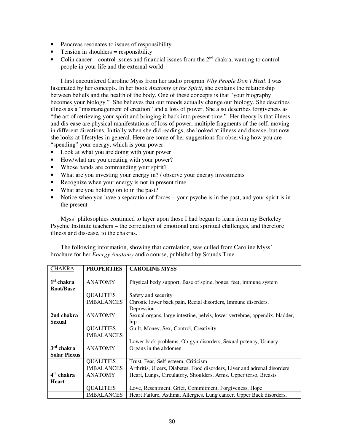- Pancreas resonates to issues of responsibility
- Tension in shoulders  $=$  responsibility
- Colin cancer control issues and financial issues from the  $2<sup>nd</sup>$  chakra, wanting to control people in your life and the external world

I first encountered Caroline Myss from her audio program *Why People Don't Heal*. I was fascinated by her concepts. In her book *Anatomy of the Spirit*, she explains the relationship between beliefs and the health of the body. One of these concepts is that "your biography becomes your biology." She believes that our moods actually change our biology. She describes illness as a "mismanagement of creation" and a loss of power. She also describes forgiveness as "the art of retrieving your spirit and bringing it back into present time." Her theory is that illness and dis-ease are physical manifestations of loss of power, multiple fragments of the self, moving in different directions. Initially when she did readings, she looked at illness and disease, but now she looks at lifestyles in general. Here are some of her suggestions for observing how you are "spending" your energy, which is your power:

- Look at what you are doing with your power
- How/what are you creating with your power?
- Whose hands are commanding your spirit?
- What are you investing your energy in? / observe your energy investments
- Recognize when your energy is not in present time
- What are you holding on to in the past?
- Notice when you have a separation of forces your psyche is in the past, and your spirit is in the present

Myss' philosophies continued to layer upon those I had begun to learn from my Berkeley Psychic Institute teachers – the correlation of emotional and spiritual challenges, and therefore illness and dis-ease, to the chakras.

The following information, showing that correlation, was culled from Caroline Myss' brochure for her *Energy Anatomy* audio course, published by Sounds True.

| <b>CHAKRA</b>          | <b>PROPERTIES</b> | <b>CAROLINE MYSS</b>                                                        |
|------------------------|-------------------|-----------------------------------------------------------------------------|
|                        |                   |                                                                             |
| $1st$ chakra           | <b>ANATOMY</b>    | Physical body support, Base of spine, bones, feet, immune system            |
| Root/Base              |                   |                                                                             |
|                        | <b>QUALITIES</b>  | Safety and security                                                         |
|                        | <b>IMBALANCES</b> | Chronic lower back pain, Rectal disorders, Immune disorders,                |
|                        |                   | Depression                                                                  |
| 2nd chakra             | <b>ANATOMY</b>    | Sexual organs, large intestine, pelvis, lower vertebrae, appendix, bladder, |
| Sexual                 |                   | hip                                                                         |
|                        | <b>QUALITIES</b>  | Guilt, Money, Sex, Control, Creativity                                      |
|                        | <b>IMBALANCES</b> |                                                                             |
|                        |                   | Lower back problems, Ob-gyn disorders, Sexual potency, Urinary              |
| $3rd$ chakra           | <b>ANATOMY</b>    | Organs in the abdomen                                                       |
| <b>Solar Plexus</b>    |                   |                                                                             |
|                        | <b>QUALITIES</b>  | Trust, Fear, Self-esteem, Criticism                                         |
|                        | <b>IMBALANCES</b> | Arthritis, Ulcers, Diabetes, Food disorders, Liver and adrenal disorders    |
| 4 <sup>th</sup> chakra | <b>ANATOMY</b>    | Heart, Lungs, Circulatory, Shoulders, Arms, Upper torso, Breasts            |
| Heart                  |                   |                                                                             |
|                        | <b>QUALITIES</b>  | Love, Resentment, Grief, Commitment, Forgiveness, Hope                      |
|                        | <b>IMBALANCES</b> | Heart Failure, Asthma, Allergies, Lung cancer, Upper Back disorders,        |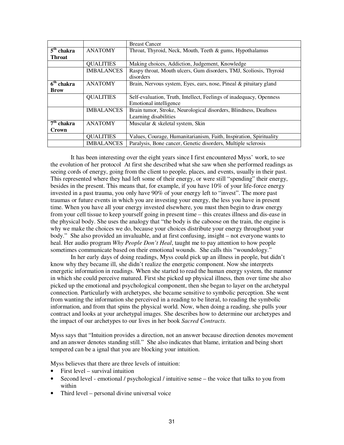|                                   |                   | <b>Breast Cancer</b>                                                |
|-----------------------------------|-------------------|---------------------------------------------------------------------|
| $\overline{5}^{\text{th}}$ chakra | <b>ANATOMY</b>    | Throat, Thyroid, Neck, Mouth, Teeth & gums, Hypothalamus            |
| Throat                            |                   |                                                                     |
|                                   | <b>QUALITIES</b>  | Making choices, Addiction, Judgement, Knowledge                     |
|                                   | <b>IMBALANCES</b> | Raspy throat, Mouth ulcers, Gum disorders, TMJ, Scoliosis, Thyroid  |
|                                   |                   | disorders                                                           |
| $6th$ chakra                      | <b>ANATOMY</b>    | Brain, Nervous system, Eyes, ears, nose, Pineal & pituitary gland   |
| <b>Brow</b>                       |                   |                                                                     |
|                                   | <b>QUALITIES</b>  | Self-evaluation, Truth, Intellect, Feelings of inadequacy, Openness |
|                                   |                   | Emotional intelligence                                              |
|                                   | <b>IMBALANCES</b> | Brain tumor, Stroke, Neurological disorders, Blindness, Deafness    |
|                                   |                   | Learning disabilities                                               |
| $7th$ chakra                      | <b>ANATOMY</b>    | Muscular & skeletal system, Skin                                    |
| Crown                             |                   |                                                                     |
|                                   | <b>QUALITIES</b>  | Values, Courage, Humanitarianism, Faith, Inspiration, Spirituality  |
|                                   | <b>IMBALANCES</b> | Paralysis, Bone cancer, Genetic disorders, Multiple sclerosis       |

It has been interesting over the eight years since I first encountered Myss' work, to see the evolution of her protocol At first she described what she saw when she performed readings as seeing cords of energy, going from the client to people, places, and events, usually in their past. This represented where they had left some of their energy, or were still "spending" their energy, besides in the present. This means that, for example, if you have 10% of your life-force energy invested in a past trauma, you only have 90% of your energy left to "invest". The more past traumas or future events in which you are investing your energy, the less you have in present time. When you have all your energy invested elsewhere, you must then begin to draw energy from your cell tissue to keep yourself going in present time – this creates illness and dis-ease in the physical body. She uses the analogy that "the body is the caboose on the train, the engine is why we make the choices we do, because your choices distribute your energy throughout your body." She also provided an invaluable, and at first confusing, insight – not everyone wants to heal. Her audio program *Why People Don't Heal*, taught me to pay attention to how people sometimes communicate based on their emotional wounds. She calls this "woundology."

In her early days of doing readings, Myss could pick up an illness in people, but didn't know why they became ill, she didn't realize the energetic component. Now she interprets energetic information in readings. When she started to read the human energy system, the manner in which she could perceive matured. First she picked up physical illness, then over time she also picked up the emotional and psychological component, then she began to layer on the archetypal connection. Particularly with archetypes, she became sensitive to symbolic perception. She went from wanting the information she perceived in a reading to be literal, to reading the symbolic information, and from that spins the physical world. Now, when doing a reading, she pulls your contract and looks at your archetypal images. She describes how to determine our archetypes and the impact of our archetypes to our lives in her book *Sacred Contracts*.

Myss says that "Intuition provides a direction, not an answer because direction denotes movement and an answer denotes standing still." She also indicates that blame, irritation and being short tempered can be a ignal that you are blocking your intuition.

Myss believes that there are three levels of intuition:

- First level survival intuition
- Second level emotional / psychological / intuitive sense the voice that talks to you from within
- Third level personal divine universal voice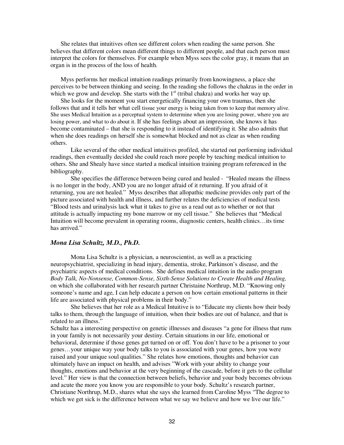She relates that intuitives often see different colors when reading the same person. She believes that different colors mean different things to different people, and that each person must interpret the colors for themselves. For example when Myss sees the color gray, it means that an organ is in the process of the loss of health.

Myss performs her medical intuition readings primarily from knowingness, a place she perceives to be between thinking and seeing. In the reading she follows the chakras in the order in which we grow and develop. She starts with the  $1<sup>st</sup>$  (tribal chakra) and works her way up.

She looks for the moment you start energetically financing your own traumas, then she follows that and it tells her what cell tissue your energy is being taken from to keep that memory alive. She uses Medical Intuition as a perceptual system to determine when you are losing power, where you are losing power, and what to do about it. If she has feelings about an impression, she knows it has become contaminated – that she is responding to it instead of identifying it. She also admits that when she does readings on herself she is somewhat blocked and not as clear as when reading others.

Like several of the other medical intuitives profiled, she started out performing individual readings, then eventually decided she could reach more people by teaching medical intuition to others. She and Shealy have since started a medical intuition training program referenced in the bibliography.

She specifies the difference between being cured and healed - "Healed means the illness is no longer in the body, AND you are no longer afraid of it returning. If you afraid of it returning, you are not healed." Myss describes that allopathic medicine provides only part of the picture associated with health and illness, and further relates the deficiencies of medical tests "Blood tests and urinalysis lack what it takes to give us a read out as to whether or not that attitude is actually impacting my bone marrow or my cell tissue." She believes that "Medical Intuition will become prevalent in operating rooms, diagnostic centers, health clinics…its time has arrived."

#### *Mona Lisa Schultz, M.D., Ph.D.*

Mona Lisa Schultz is a physician, a neuroscientist, as well as a practicing neuropsychiatrist, specializing in head injury, dementia, stroke, Parkinson's disease, and the psychiatric aspects of medical conditions. She defines medical intuition in the audio program *Body Talk, No-Nonsense, Common-Sense, Sixth-Sense Solutions to Create Health and Healing,* on which she collaborated with her research partner Christaine Northrup, M.D. "Knowing only someone's name and age, I can help educate a person on how certain emotional patterns in their life are associated with physical problems in their body."

She believes that her role as a Medical Intuitive is to "Educate my clients how their body talks to them, through the language of intuition, when their bodies are out of balance, and that is related to an illness."

Schultz has a interesting perspective on genetic illnesses and diseases "a gene for illness that runs in your family is not necessarily your destiny. Certain situations in our life, emotional or behavioral, determine if those genes get turned on or off. You don't have to be a prisoner to your genes…your unique way your body talks to you is associated with your genes, how you were raised and your unique soul qualities." She relates how emotions, thoughts and behavior can ultimately have an impact on health, and advises "Work with your ability to change your thoughts, emotions and behavior at the very beginning of the cascade, before it gets to the cellular level." Her view is that the connection between beliefs, behavior and your body becomes obvious and acute the more you know you are responsible to your body. Schultz's research partner, Christiane Northrup, M.D., shares what she says she learned from Caroline Myss "The degree to which we get sick is the difference between what we say we believe and how we live our life."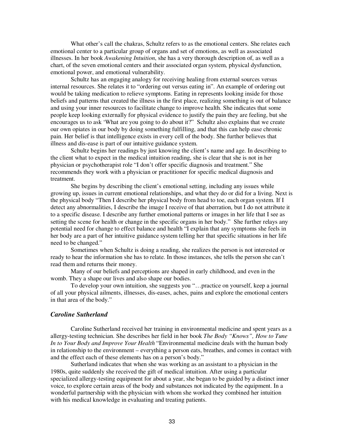What other's call the chakras, Schultz refers to as the emotional centers. She relates each emotional center to a particular group of organs and set of emotions, as well as associated illnesses. In her book *Awakening Intuition*, she has a very thorough description of, as well as a chart, of the seven emotional centers and their associated organ system, physical dysfunction, emotional power, and emotional vulnerability.

Schultz has an engaging analogy for receiving healing from external sources versus internal resources. She relates it to "ordering out versus eating in". An example of ordering out would be taking medication to relieve symptoms. Eating in represents looking inside for those beliefs and patterns that created the illness in the first place, realizing something is out of balance and using your inner resources to facilitate change to improve health. She indicates that some people keep looking externally for physical evidence to justify the pain they are feeling, but she encourages us to ask 'What are you going to do about it?" Schultz also explains that we create our own opiates in our body by doing something fulfilling, and that this can help ease chronic pain. Her belief is that intelligence exists in every cell of the body. She further believes that illness and dis-ease is part of our intuitive guidance system.

Schultz begins her readings by just knowing the client's name and age. In describing to the client what to expect in the medical intuition reading, she is clear that she is not in her physician or psychotherapist role "I don't offer specific diagnosis and treatment." She recommends they work with a physician or practitioner for specific medical diagnosis and treatment.

She begins by describing the client's emotional setting, including any issues while growing up, issues in current emotional relationships, and what they do or did for a living. Next is the physical body "Then I describe her physical body from head to toe, each organ system. If I detect any abnormalities, I describe the image I receive of that aberration, but I do not attribute it to a specific disease. I describe any further emotional patterns or images in her life that I see as setting the scene for health or change in the specific organs in her body." She further relays any potential need for change to effect balance and health "I explain that any symptoms she feels in her body are a part of her intuitive guidance system telling her that specific situations in her life need to be changed."

Sometimes when Schultz is doing a reading, she realizes the person is not interested or ready to hear the information she has to relate. In those instances, she tells the person she can't read them and returns their money.

Many of our beliefs and perceptions are shaped in early childhood, and even in the womb. They a shape our lives and also shape our bodies.

To develop your own intuition, she suggests you "…practice on yourself, keep a journal of all your physical ailments, illnesses, dis-eases, aches, pains and explore the emotional centers in that area of the body."

#### *Caroline Sutherland*

Caroline Sutherland received her training in environmental medicine and spent years as a allergy-testing technician. She describes her field in her book *The Body "Knows", How to Tune In to Your Body and Improve Your Health* "Environmental medicine deals with the human body in relationship to the environment – everything a person eats, breathes, and comes in contact with and the effect each of these elements has on a person's body."

Sutherland indicates that when she was working as an assistant to a physician in the 1980s, quite suddenly she received the gift of medical intuition. After using a particular specialized allergy-testing equipment for about a year, she began to be guided by a distinct inner voice, to explore certain areas of the body and substances not indicated by the equipment. In a wonderful partnership with the physician with whom she worked they combined her intuition with his medical knowledge in evaluating and treating patients.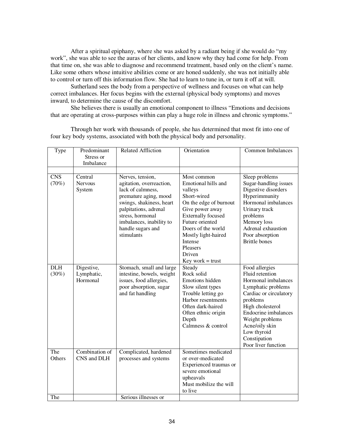After a spiritual epiphany, where she was asked by a radiant being if she would do "my work", she was able to see the auras of her clients, and know why they had come for help. From that time on, she was able to diagnose and recommend treatment, based only on the client's name. Like some others whose intuitive abilities come or are honed suddenly, she was not initially able to control or turn off this information flow. She had to learn to tune in, or turn it off at will.

Sutherland sees the body from a perspective of wellness and focuses on what can help correct imbalances. Her focus begins with the external (physical body symptoms) and moves inward, to determine the cause of the discomfort.

She believes there is usually an emotional component to illness "Emotions and decisions that are operating at cross-purposes within can play a huge role in illness and chronic symptoms."

Through her work with thousands of people, she has determined that most fit into one of four key body systems, associated with both the physical body and personality.

| Type       | Predominant    | <b>Related Affliction</b> | Orientation               | <b>Common Imbalances</b>    |
|------------|----------------|---------------------------|---------------------------|-----------------------------|
|            | Stress or      |                           |                           |                             |
|            | Imbalance      |                           |                           |                             |
|            |                |                           |                           |                             |
| <b>CNS</b> | Central        | Nerves, tension,          | Most common               | Sleep problems              |
| (70%)      | <b>Nervous</b> | agitation, overreaction,  | Emotional hills and       | Sugar-handling issues       |
|            | System         | lack of calmness,         | valleys                   | Digestive disorders         |
|            |                | premature aging, mood     | Short-wired               | Hyperimmunity               |
|            |                | swings, shakiness, heart  | On the edge of burnout    | Hormonal imbalances         |
|            |                | palpitations, adrenal     | Give power away           | Urinary track               |
|            |                | stress, hormonal          | <b>Externally focused</b> | problems                    |
|            |                | imbalances, inability to  | Future oriented           | Memory loss                 |
|            |                | handle sugars and         | Doers of the world        | Adrenal exhaustion          |
|            |                | stimulants                | Mostly light-haired       | Poor absorption             |
|            |                |                           | Intense                   | <b>Brittle</b> bones        |
|            |                |                           | Pleasers                  |                             |
|            |                |                           | Driven                    |                             |
|            |                |                           | $Key work = trust$        |                             |
| <b>DLH</b> | Digestive,     | Stomach, small and large  | Steady                    | Food allergies              |
| (30%)      | Lymphatic,     | intestine, bowels, weight | Rock solid                | Fluid retention             |
|            | Hormonal       | issues, food allergies,   | Emotions hidden           | Hormonal imbalances         |
|            |                | poor absorption, sugar    | Slow silent types         | Lymphatic problems          |
|            |                | and fat handling          | Trouble letting go        | Cardiac or circulatory      |
|            |                |                           | Harbor resentments        | problems                    |
|            |                |                           | Often dark-haired         | High cholesterol            |
|            |                |                           | Often ethnic origin       | <b>Endocrine</b> imbalances |
|            |                |                           | Depth                     | Weight problems             |
|            |                |                           | Calmness & control        | Acne/oily skin              |
|            |                |                           |                           | Low thyroid                 |
|            |                |                           |                           | Constipation                |
|            |                |                           |                           | Poor liver function         |
| The        | Combination of | Complicated, hardened     | Sometimes medicated       |                             |
| Others     | CNS and DLH    | processes and systems     | or over-medicated         |                             |
|            |                |                           | Experienced traumas or    |                             |
|            |                |                           | severe emotional          |                             |
|            |                |                           | upheavals                 |                             |
|            |                |                           | Must mobilize the will    |                             |
|            |                |                           | to live                   |                             |
| The        |                | Serious illnesses or      |                           |                             |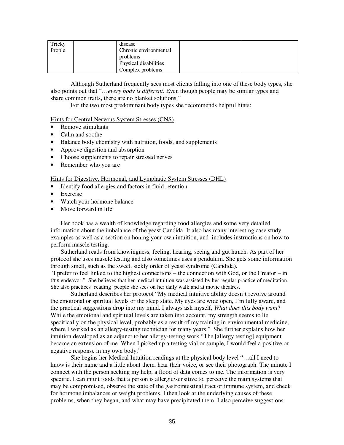| Tricky | disease               |  |
|--------|-----------------------|--|
| Prople | Chronic environmental |  |
|        | problems              |  |
|        | Physical disabilities |  |
|        | Complex problems      |  |

Although Sutherland frequently sees most clients falling into one of these body types, she also points out that "…*every body is different*. Even though people may be similar types and share common traits, there are no blanket solutions."

For the two most predominant body types she recommends helpful hints:

## Hints for Central Nervous System Stresses (CNS)

- Remove stimulants
- Calm and soothe
- Balance body chemistry with nutrition, foods, and supplements
- Approve digestion and absorption
- Choose supplements to repair stressed nerves
- Remember who you are

#### Hints for Digestive, Hormonal, and Lymphatic System Stresses (DHL)

- Identify food allergies and factors in fluid retention
- Exercise
- Watch your hormone balance
- Move forward in life

Her book has a wealth of knowledge regarding food allergies and some very detailed information about the imbalance of the yeast Candida. It also has many interesting case study examples as well as a section on honing your own intuition, and includes instructions on how to perform muscle testing.

Sutherland reads from knowingness, feeling, hearing, seeing and gut hunch. As part of her protocol she uses muscle testing and also sometimes uses a pendulum. She gets some information through smell, such as the sweet, sickly order of yeast syndrome (Candida).

"I prefer to feel linked to the highest connections – the connection with God, or the Creator – in this endeavor." She believes that her medical intuition was assisted by her regular practice of meditation. She also practices 'reading' people she sees on her daily walk and at movie theatres.

Sutherland describes her protocol "My medical intuitive ability doesn't revolve around the emotional or spiritual levels or the sleep state. My eyes are wide open, I'm fully aware, and the practical suggestions drop into my mind. I always ask myself, *What does this body want*? While the emotional and spiritual levels are taken into account, my strength seems to lie specifically on the physical level, probably as a result of my training in environmental medicine, where I worked as an allergy-testing technician for many years." She further explains how her intuition developed as an adjunct to her allergy-testing work "The [allergy testing] equipment became an extension of me. When I picked up a testing vial or sample, I would feel a positive or negative response in my own body."

She begins her Medical Intuition readings at the physical body level "…all I need to know is their name and a little about them, hear their voice, or see their photograph. The minute I connect with the person seeking my help, a flood of data comes to me. The information is very specific. I can intuit foods that a person is allergic/sensitive to, perceive the main systems that may be compromised, observe the state of the gastrointestinal tract or immune system, and check for hormone imbalances or weight problems. I then look at the underlying causes of these problems, when they began, and what may have precipitated them. I also perceive suggestions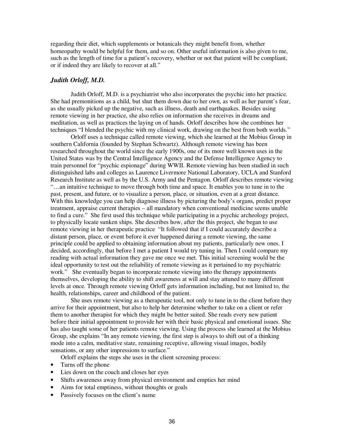regarding their diet, which supplements or botanicals they might benefit from, whether homeopathy would be helpful for them, and so on. Other useful information is also given to me, such as the length of time for a patient's recovery, whether or not that patient will be compliant, or if indeed they are likely to recover at all."

## *Judith Orloff, M.D.*

Judith Orloff, M.D. is a psychiatrist who also incorporates the psychic into her practice. She had premonitions as a child, but shut them down due to her own, as well as her parent's fear, as she usually picked up the negative, such as illness, death and earthquakes. Besides using remote viewing in her practice, she also relies on information she receives in dreams and meditation, as well as practices the laying on of hands. Orloff describes how she combines her techniques "I blended the psychic with my clinical work, drawing on the best from both worlds."

Orloff uses a technique called remote viewing, which she learned at the Mobius Group in southern California (founded by Stephan Schwartz). Although remote viewing has been researched throughout the world since the early 1900s, one of its more well known uses in the United States was by the Central Intelligence Agency and the Defense Intelligence Agency to train personnel for "psychic espionage" during WWII. Remote viewing has been studied in such distinguished labs and colleges as Laurence Livermore National Laboratory, UCLA and Stanford Research Institute as well as by the U.S. Army and the Pentagon. Orloff describes remote viewing "…an intuitive technique to move through both time and space. It enables you to tune in to the past, present, and future, or to visualize a person, place, or situation, even at a great distance. With this knowledge you can help diagnose illness by picturing the body's organs, predict proper treatment, appraise current therapies – all mandatory when conventional medicine seems unable to find a cure." She first used this technique while participating in a psychic archeology project, to physically locate sunken ships. She describes how, after the this project, she began to use remote viewing in her therapeutic practice "It followed that if I could accurately describe a distant person, place, or event before it ever happened during a remote viewing, the same principle could be applied to obtaining information about my patients, particularly new ones. I decided, accordingly, that before I met a patient I would try tuning in. Then I could compare my reading with actual information they gave me once we met. This initial screening would be the ideal opportunity to test out the reliability of remote viewing as it pertained to my psychiatric work." She eventually began to incorporate remote viewing into the therapy appointments themselves, developing the ability to shift awareness at will and stay attuned to many different levels at once. Through remote viewing Orloff gets information including, but not limited to, the health, relationships, career and childhood of the patient.

She uses remote viewing as a therapeutic tool, not only to tune in to the client before they arrive for their appointment, but also to help her determine whether to take on a client or refer them to another therapist for which they might be better suited. She reads every new patient before their initial appointment to provide her with their basic physical and emotional issues. She has also taught some of her patients remote viewing. Using the process she learned at the Mobius Group, she explains "In any remote viewing, the first step is always to shift out of a thinking mode into a calm, meditative state, remaining receptive, allowing visual images, bodily sensations, or any other impressions to surface."

Orloff explains the steps she uses in the client screening process:

- Turns off the phone
- Lies down on the couch and closes her eyes
- Shifts awareness away from physical environment and empties her mind
- Aims for total emptiness, without thoughts or goals
- Passively focuses on the client's name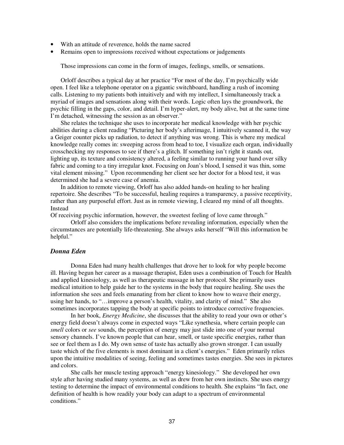- With an attitude of reverence, holds the name sacred
- Remains open to impressions received without expectations or judgements

Those impressions can come in the form of images, feelings, smells, or sensations.

Orloff describes a typical day at her practice "For most of the day, I'm psychically wide open. I feel like a telephone operator on a gigantic switchboard, handling a rush of incoming calls. Listening to my patients both intuitively and with my intellect, I simultaneously track a myriad of images and sensations along with their words. Logic often lays the groundwork, the psychic filling in the gaps, color, and detail. I'm hyper-alert, my body alive, but at the same time I'm detached, witnessing the session as an observer."

She relates the technique she uses to incorporate her medical knowledge with her psychic abilities during a client reading "Picturing her body's afterimage, I intuitively scanned it, the way a Geiger counter picks up radiation, to detect if anything was wrong. This is where my medical knowledge really comes in: sweeping across from head to toe, I visualize each organ, individually crosschecking my responses to see if there's a glitch. If something isn't right it stands out, lighting up, its texture and consistency altered, a feeling similar to running your hand over silky fabric and coming to a tiny irregular knot. Focusing on Joan's blood, I sensed it was thin, some vital element missing." Upon recommending her client see her doctor for a blood test, it was determined she had a severe case of anemia.

In addition to remote viewing, Orloff has also added hands-on healing to her healing repertoire. She describes "To be successful, healing requires a transparency, a passive receptivity, rather than any purposeful effort. Just as in remote viewing, I cleared my mind of all thoughts. Instead

Of receiving psychic information, however, the sweetest feeling of love came through."

Orloff also considers the implications before revealing information, especially when the circumstances are potentially life-threatening. She always asks herself "Will this information be helpful."

#### *Donna Eden*

Donna Eden had many health challenges that drove her to look for why people become ill. Having begun her career as a massage therapist, Eden uses a combination of Touch for Health and applied kinesiology, as well as therapeutic massage in her protocol. She primarily uses medical intuition to help guide her to the systems in the body that require healing. She uses the information she sees and feels emanating from her client to know how to weave their energy, using her hands, to "…improve a person's health, vitality, and clarity of mind." She also sometimes incorporates tapping the body at specific points to introduce corrective frequencies.

In her book, *Energy Medicine*, she discusses that the ability to read your own or other's energy field doesn't always come in expected ways "Like synethesia, where certain people can *smell* colors or *see* sounds, the perception of energy may just slide into one of your normal sensory channels. I've known people that can hear, smell, or taste specific energies, rather than see or feel them as I do. My own sense of taste has actually also grown stronger. I can usually taste which of the five elements is most dominant in a client's energies." Eden primarily relies upon the intuitive modalities of seeing, feeling and sometimes tastes energies. She sees in pictures and colors.

She calls her muscle testing approach "energy kinesiology." She developed her own style after having studied many systems, as well as drew from her own instincts. She uses energy testing to determine the impact of environmental conditions to health. She explains "In fact, one definition of health is how readily your body can adapt to a spectrum of environmental conditions."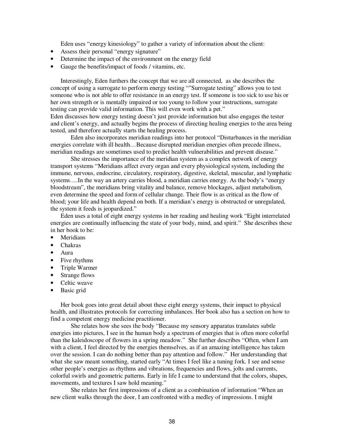Eden uses "energy kinesiology" to gather a variety of information about the client:

- Assess their personal "energy signature"
- Determine the impact of the environment on the energy field
- Gauge the benefits/impact of foods / vitamins, etc.

Interestingly, Eden furthers the concept that we are all connected, as she describes the concept of using a surrogate to perform energy testing ""Surrogate testing" allows you to test someone who is not able to offer resistance in an energy test. If someone is too sick to use his or her own strength or is mentally impaired or too young to follow your instructions, surrogate testing can provide valid information. This will even work with a pet."

Eden discusses how energy testing doesn't just provide information but also engages the tester and client's energy, and actually begins the process of directing healing energies to the area being tested, and therefore actually starts the healing process.

Eden also incorporates meridian readings into her protocol "Disturbances in the meridian energies correlate with ill health…Because disrupted meridian energies often precede illness, meridian readings are sometimes used to predict health vulnerabilities and prevent disease."

She stresses the importance of the meridian system as a complex network of energy transport systems "Meridians affect every organ and every physiological system, including the immune, nervous, endocrine, circulatory, respiratory, digestive, skeletal, muscular, and lymphatic systems....In the way an artery carries blood, a meridian carries energy. As the body's "energy" bloodstream", the meridians bring vitality and balance, remove blockages, adjust metabolism, even determine the speed and form of cellular change. Their flow is as critical as the flow of blood; your life and health depend on both. If a meridian's energy is obstructed or unregulated, the system it feeds is jeopardized."

Eden uses a total of eight energy systems in her reading and healing work "Eight interrelated energies are continually influencing the state of your body, mind, and spirit." She describes these in her book to be:

- **Meridians**
- Chakras
- Aura
- Five rhythms
- Triple Warmer
- Strange flows
- Celtic weave
- Basic grid

Her book goes into great detail about these eight energy systems, their impact to physical health, and illustrates protocols for correcting imbalances. Her book also has a section on how to find a competent energy medicine practitioner.

She relates how she sees the body "Because my sensory apparatus translates subtle energies into pictures, I see in the human body a spectrum of energies that is often more colorful than the kaleidoscope of flowers in a spring meadow." She further describes "Often, when I am with a client, I feel directed by the energies themselves, as if an amazing intelligence has taken over the session. I can do nothing better than pay attention and follow." Her understanding that what she saw meant something, started early "At times I feel like a tuning fork. I see and sense other people's energies as rhythms and vibrations, frequencies and flows, jolts and currents, colorful swirls and geometric patterns. Early in life I came to understand that the colors, shapes, movements, and textures I saw hold meaning."

She relates her first impressions of a client as a combination of information "When an new client walks through the door, I am confronted with a medley of impressions. I might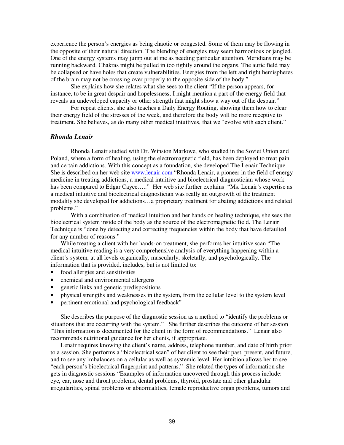experience the person's energies as being chaotic or congested. Some of them may be flowing in the opposite of their natural direction. The blending of energies may seem harmonious or jangled. One of the energy systems may jump out at me as needing particular attention. Meridians may be running backward. Chakras might be pulled in too tightly around the organs. The auric field may be collapsed or have holes that create vulnerabilities. Energies from the left and right hemispheres of the brain may not be crossing over properly to the opposite side of the body."

She explains how she relates what she sees to the client "If the person appears, for instance, to be in great despair and hopelessness, I might mention a part of the energy field that reveals an undeveloped capacity or other strength that might show a way out of the despair."

For repeat clients, she also teaches a Daily Energy Routing, showing them how to clear their energy field of the stresses of the week, and therefore the body will be more receptive to treatment. She believes, as do many other medical intuitives, that we "evolve with each client."

## *Rhonda Lenair*

Rhonda Lenair studied with Dr. Winston Marlowe, who studied in the Soviet Union and Poland, where a form of healing, using the electromagnetic field, has been deployed to treat pain and certain addictions. With this concept as a foundation, she developed The Lenair Technique. She is described on her web site www.lenair.com "Rhonda Lenair, a pioneer in the field of energy medicine in treating addictions, a medical intuitive and bioelectrical diagnostician whose work has been compared to Edgar Cayce....." Her web site further explains "Ms. Lenair's expertise as a medical intuitive and bioelectrical diagnostician was really an outgrowth of the treatment modality she developed for addictions…a proprietary treatment for abating addictions and related problems."

With a combination of medical intuition and her hands on healing technique, she sees the bioelectrical system inside of the body as the source of the electromagnetic field. The Lenair Technique is "done by detecting and correcting frequencies within the body that have defaulted for any number of reasons."

While treating a client with her hands-on treatment, she performs her intuitive scan "The medical intuitive reading is a very comprehensive analysis of everything happening within a client's system, at all levels organically, muscularly, skeletally, and psychologically. The information that is provided, includes, but is not limited to:

- food allergies and sensitivities
- chemical and environmental allergens
- genetic links and genetic predispositions
- physical strengths and weaknesses in the system, from the cellular level to the system level
- pertinent emotional and psychological feedback"

She describes the purpose of the diagnostic session as a method to "identify the problems or situations that are occurring with the system." She further describes the outcome of her session "This information is documented for the client in the form of recommendations." Lenair also recommends nutritional guidance for her clients, if appropriate.

Lenair requires knowing the client's name, address, telephone number, and date of birth prior to a session. She performs a "bioelectrical scan" of her client to see their past, present, and future, and to see any imbalances on a cellular as well as systemic level. Her intuition allows her to see "each person's bioelectrical fingerprint and patterns." She related the types of information she gets in diagnostic sessions "Examples of information uncovered through this process include: eye, ear, nose and throat problems, dental problems, thyroid, prostate and other glandular irregularities, spinal problems or abnormalities, female reproductive organ problems, tumors and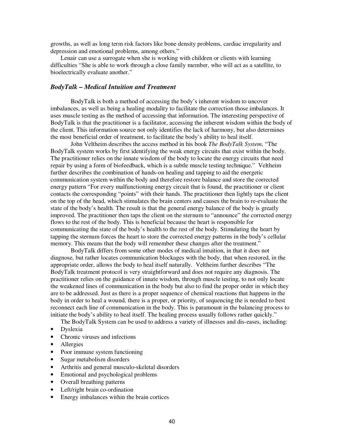growths, as well as long term risk factors like bone density problems, cardiac irregularity and depression and emotional problems, among others."

Lenair can use a surrogate when she is working with children or clients with learning difficulties "She is able to work through a close family member, who will act as a satellite, to bioelectrically evaluate another."

#### *BodyTalk – Medical Intuition and Treatment*

BodyTalk is both a method of accessing the body's inherent wisdom to uncover imbalances, as well as being a healing modality to facilitate the correction those imbalances. It uses muscle testing as the method of accessing that information. The interesting perspective of BodyTalk is that the practitioner is a facilitator, accessing the inherent wisdom within the body of the client. This information source not only identifies the lack of harmony, but also determines the most beneficial order of treatment, to facilitate the body's ability to heal itself.

John Veltheim describes the access method in his book *The BodyTalk System*, "The BodyTalk system works by first identifying the weak energy circuits that exist within the body. The practitioner relies on the innate wisdom of the body to locate the energy circuits that need repair by using a form of biofeedback, which is a subtle muscle testing technique." Veltheim further describes the combination of hands-on healing and tapping to aid the energetic communication system within the body and therefore restore balance and store the corrected energy pattern "For every malfunctioning energy circuit that is found, the practitioner or client contacts the corresponding "points" with their hands. The practitioner then lightly taps the client on the top of the head, which stimulates the brain centers and causes the brain to re-evaluate the state of the body's health. The result is that the general energy balance of the body is greatly improved. The practitioner then taps the client on the sternum to "announce" the corrected energy flows to the rest of the body. This is beneficial because the heart is responsible for communicating the state of the body's health to the rest of the body. Stimulating the heart by tapping the sternum forces the heart to store the corrected energy patterns in the body's cellular memory. This means that the body will remember these changes after the treatment."

BodyTalk differs from some other modes of medical intuition, in that it does not diagnose, but rather locates communication blockages with the body, that when restored, in the appropriate order, allows the body to heal itself naturally. Veltheim further describes "The BodyTalk treatment protocol is very straightforward and does not require any diagnosis. The practitioner relies on the guidance of innate wisdom, through muscle testing, to not only locate the weakened lines of communication in the body but also to find the proper order in which they are to be addressed. Just as there is a proper sequence of chemical reactions that happens in the body in order to heal a wound, there is a proper, or priority, of sequencing the is needed to best reconnect each line of communication in the body. This is paramount in the balancing process to initiate the body's ability to heal itself. The healing process usually follows rather quickly."

The BodyTalk System can be used to address a variety of illnesses and dis-eases, including:

- Dyslexia
- Chronic viruses and infections
- Allergies
- Poor immune system functioning
- Sugar metabolism disorders
- Arthritis and general musculo-skeletal disorders
- Emotional and psychological problems
- Overall breathing patterns
- Left/right brain co-ordination
- Energy imbalances within the brain cortices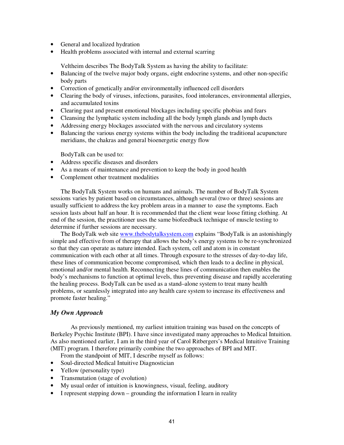- General and localized hydration
- Health problems associated with internal and external scarring

Veltheim describes The BodyTalk System as having the ability to facilitate:

- Balancing of the twelve major body organs, eight endocrine systems, and other non-specific body parts
- Correction of genetically and/or environmentally influenced cell disorders
- Clearing the body of viruses, infections, parasites, food intolerances, environmental allergies, and accumulated toxins
- Clearing past and present emotional blockages including specific phobias and fears
- Cleansing the lymphatic system including all the body lymph glands and lymph ducts
- Addressing energy blockages associated with the nervous and circulatory systems
- Balancing the various energy systems within the body including the traditional acupuncture meridians, the chakras and general bioenergetic energy flow

BodyTalk can be used to:

- Address specific diseases and disorders
- As a means of maintenance and prevention to keep the body in good health
- Complement other treatment modalities

The BodyTalk System works on humans and animals. The number of BodyTalk System sessions varies by patient based on circumstances, although several (two or three) sessions are usually sufficient to address the key problem areas in a manner to ease the symptoms. Each session lasts about half an hour. It is recommended that the client wear loose fitting clothing. At end of the session, the practitioner uses the same biofeedback technique of muscle testing to determine if further sessions are necessary.

The BodyTalk web site www.thebodytalksystem.com explains "BodyTalk is an astonishingly simple and effective from of therapy that allows the body's energy systems to be re-synchronized so that they can operate as nature intended. Each system, cell and atom is in constant communication with each other at all times. Through exposure to the stresses of day-to-day life, these lines of communication become compromised, which then leads to a decline in physical, emotional and/or mental health. Reconnecting these lines of communication then enables the body's mechanisms to function at optimal levels, thus preventing disease and rapidly accelerating the healing process. BodyTalk can be used as a stand–alone system to treat many health problems, or seamlessly integrated into any health care system to increase its effectiveness and promote faster healing."

## *My Own Approach*

As previously mentioned, my earliest intuition training was based on the concepts of Berkeley Psychic Institute (BPI). I have since investigated many approaches to Medical Intuition. As also mentioned earlier, I am in the third year of Carol Ritbergers's Medical Intuitive Training (MIT) program. I therefore primarily combine the two approaches of BPI and MIT.

From the standpoint of MIT, I describe myself as follows:

- Soul-directed Medical Intuitive Diagnostician
- Yellow (personality type)
- Transmutation (stage of evolution)
- My usual order of intuition is knowingness, visual, feeling, auditory
- I represent stepping down grounding the information I learn in reality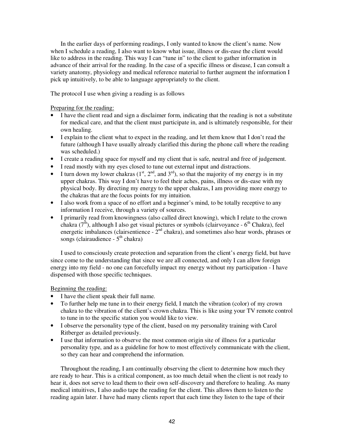In the earlier days of performing readings, I only wanted to know the client's name. Now when I schedule a reading, I also want to know what issue, illness or dis-ease the client would like to address in the reading. This way I can "tune in" to the client to gather information in advance of their arrival for the reading. In the case of a specific illness or disease, I can consult a variety anatomy, physiology and medical reference material to further augment the information I pick up intuitively, to be able to language appropriately to the client.

The protocol I use when giving a reading is as follows

Preparing for the reading:

- I have the client read and sign a disclaimer form, indicating that the reading is not a substitute for medical care, and that the client must participate in, and is ultimately responsible, for their own healing.
- I explain to the client what to expect in the reading, and let them know that I don't read the future (although I have usually already clarified this during the phone call where the reading was scheduled.)
- I create a reading space for myself and my client that is safe, neutral and free of judgement.
- I read mostly with my eyes closed to tune out external input and distractions.
- I turn down my lower chakras  $(1<sup>st</sup>, 2<sup>nd</sup>,$  and  $3<sup>rd</sup>$ ), so that the majority of my energy is in my upper chakras. This way I don't have to feel their aches, pains, illness or dis-ease with my physical body. By directing my energy to the upper chakras, I am providing more energy to the chakras that are the focus points for my intuition.
- I also work from a space of no effort and a beginner's mind, to be totally receptive to any information I receive, through a variety of sources.
- I primarily read from knowingness (also called direct knowing), which I relate to the crown chakra ( $7<sup>th</sup>$ ), although I also get visual pictures or symbols (clairvoyance -  $6<sup>th</sup>$  Chakra), feel energetic imbalances (clairsentience  $-2<sup>nd</sup>$  chakra), and sometimes also hear words, phrases or songs (clairaudience -  $5<sup>th</sup>$  chakra)

I used to consciously create protection and separation from the client's energy field, but have since come to the understanding that since we are all connected, and only I can allow foreign energy into my field - no one can forcefully impact my energy without my participation - I have dispensed with those specific techniques.

Beginning the reading:

- I have the client speak their full name.
- To further help me tune in to their energy field, I match the vibration (color) of my crown chakra to the vibration of the client's crown chakra. This is like using your TV remote control to tune in to the specific station you would like to view.
- I observe the personality type of the client, based on my personality training with Carol Ritberger as detailed previously.
- I use that information to observe the most common origin site of illness for a particular personality type, and as a guideline for how to most effectively communicate with the client, so they can hear and comprehend the information.

Throughout the reading, I am continually observing the client to determine how much they are ready to hear. This is a critical component, as too much detail when the client is not ready to hear it, does not serve to lead them to their own self-discovery and therefore to healing. As many medical intuitives, I also audio tape the reading for the client. This allows them to listen to the reading again later. I have had many clients report that each time they listen to the tape of their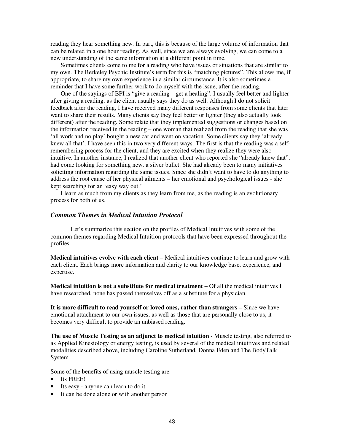reading they hear something new. In part, this is because of the large volume of information that can be related in a one hour reading. As well, since we are always evolving, we can come to a new understanding of the same information at a different point in time.

Sometimes clients come to me for a reading who have issues or situations that are similar to my own. The Berkeley Psychic Institute's term for this is "matching pictures". This allows me, if appropriate, to share my own experience in a similar circumstance. It is also sometimes a reminder that I have some further work to do myself with the issue, after the reading.

One of the sayings of BPI is "give a reading – get a healing". I usually feel better and lighter after giving a reading, as the client usually says they do as well. Although I do not solicit feedback after the reading, I have received many different responses from some clients that later want to share their results. Many clients say they feel better or lighter (they also actually look different) after the reading. Some relate that they implemented suggestions or changes based on the information received in the reading – one woman that realized from the reading that she was 'all work and no play' bought a new car and went on vacation. Some clients say they 'already knew all that'. I have seen this in two very different ways. The first is that the reading was a selfremembering process for the client, and they are excited when they realize they were also intuitive. In another instance, I realized that another client who reported she "already knew that", had come looking for something new, a silver bullet. She had already been to many initiatives soliciting information regarding the same issues. Since she didn't want to have to do anything to address the root cause of her physical ailments – her emotional and psychological issues - she kept searching for an 'easy way out.'

I learn as much from my clients as they learn from me, as the reading is an evolutionary process for both of us.

#### *Common Themes in Medical Intuition Protocol*

Let's summarize this section on the profiles of Medical Intuitives with some of the common themes regarding Medical Intuition protocols that have been expressed throughout the profiles.

**Medical intuitives evolve with each client** – Medical intuitives continue to learn and grow with each client. Each brings more information and clarity to our knowledge base, experience, and expertise.

**Medical intuition is not a substitute for medical treatment –** Of all the medical intuitives I have researched, none has passed themselves off as a substitute for a physician.

**It is more difficult to read yourself or loved ones, rather than strangers –** Since we have emotional attachment to our own issues, as well as those that are personally close to us, it becomes very difficult to provide an unbiased reading.

**The use of Muscle Testing as an adjunct to medical intuition** - Muscle testing, also referred to as Applied Kinesiology or energy testing, is used by several of the medical intuitives and related modalities described above, including Caroline Sutherland, Donna Eden and The BodyTalk System.

Some of the benefits of using muscle testing are:

- Its FREE!
- Its easy anyone can learn to do it
- It can be done alone or with another person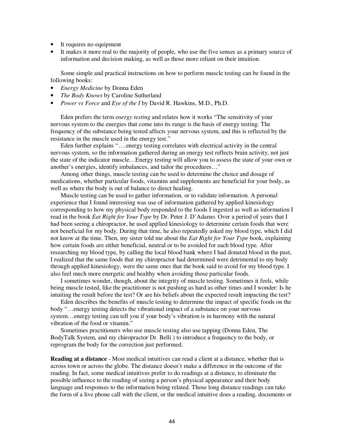- It requires no equipment
- It makes it more real to the majority of people, who use the five senses as a primary source of information and decision making, as well as those more reliant on their intuition.

Some simple and practical instructions on how to perform muscle testing can be found in the following books:

- *Energy Medicine* by Donna Eden
- *The Body Knows* by Caroline Sutherland
- *Power vs Force* and *Eye of the I* by David R. Hawkins, M.D., Ph.D.

Eden prefers the term *energy testing* and relates how it works "The sensitivity of your nervous system to the energies that come into its range is the basis of energy testing. The frequency of the substance being tested affects your nervous system, and this is reflected by the resistance in the muscle used in the energy test."

Eden further explains "….energy testing correlates with electrical activity in the central nervous system, so the information gathered during an energy test reflects brain activity, not just the state of the indicator muscle…Energy testing will allow you to assess the state of your own or another's energies, identify imbalances, and tailor the procedures…"

Among other things, muscle testing can be used to determine the choice and dosage of medications, whether particular foods, vitamins and supplements are beneficial for your body, as well as where the body is out of balance to direct healing.

Muscle testing can be used to gather information, or to validate information. A personal experience that I found interesting was use of information gathered by applied kinesiology corresponding to how my physical body responded to the foods I ingested as well as information I read in the book *Eat Right for Your Type* by Dr. Peter J. D'Adamo. Over a period of years that I had been seeing a chiropractor, he used applied kinesiology to determine certain foods that were not beneficial for my body. During that time, he also repeatedly asked my blood type, which I did not know at the time. Then, my sister told me about the *Eat Right for Your Type* book, explaining how certain foods are either beneficial, neutral or to be avoided for each blood type. After researching my blood type, by calling the local blood bank where I had donated blood in the past, I realized that the same foods that my chiropractor had determined were detrimental to my body through applied kinesiology, were the same ones that the book said to avoid for my blood type. I also feel much more energetic and healthy when avoiding those particular foods.

I sometimes wonder, though, about the integrity of muscle testing. Sometimes it feels, while being muscle tested, like the practitioner is not pushing as hard as other times and I wonder: Is he intuiting the result before the test? Or are his beliefs about the expected result impacting the test?

Eden describes the benefits of muscle testing to determine the impact of specific foods on the body "…energy testing detects the vibrational impact of a substance on your nervous system…energy testing can tell you if your body's vibration is in harmony with the natural vibration of the food or vitamin."

Sometimes practitioners who use muscle testing also use tapping (Donna Eden, The BodyTalk System, and my chiropractor Dr. Belli ) to introduce a frequency to the body, or reprogram the body for the correction just performed.

**Reading at a distance** - Most medical intuitives can read a client at a distance, whether that is across town or across the globe. The distance doesn't make a difference in the outcome of the reading. In fact, some medical intuitives prefer to do readings at a distance, to eliminate the possible influence to the reading of seeing a person's physical appearance and their body language and responses to the information being related. Those long distance readings can take the form of a live phone call with the client, or the medical intuitive does a reading, documents or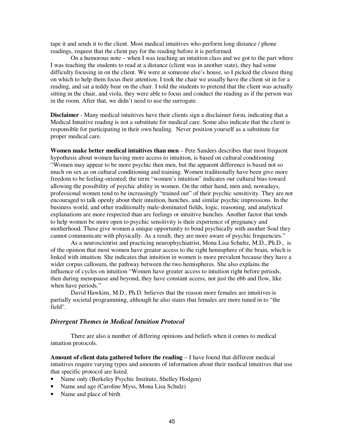tape it and sends it to the client. Most medical intuitives who perform long distance / phone readings, request that the client pay for the reading before it is performed.

On a humorous note – when I was teaching an intuition class and we got to the part where I was teaching the students to read at a distance (client was in another state), they had some difficulty focusing in on the client. We were at someone else's house, so I picked the closest thing on which to help them focus their attention. I took the chair we usually have the client sit in for a reading, and sat a teddy bear on the chair. I told the students to pretend that the client was actually sitting in the chair, and viola, they were able to focus and conduct the reading as if the person was in the room. After that, we didn't need to use the surrogate.

**Disclaimer** - Many medical intuitives have their clients sign a disclaimer form, indicating that a Medical Intuitive reading is not a substitute for medical care. Some also indicate that the client is responsible for participating in their own healing. Never position yourself as a substitute for proper medical care.

**Women make better medical intuitives than men** – Pete Sanders describes that most frequent hypothesis about women having more access to intuition, is based on cultural conditioning "Women may appear to be more psychic then men, but the apparent difference is based not so much on sex as on cultural conditioning and training. Women traditionally have been give more freedom to be feeling-oriented; the term "women's intuition" indicates our cultural bias toward allowing the possibility of psychic ability in women. On the other hand, men and, nowadays, professional women tend to be increasingly "trained out" of their psychic sensitivity. They are not encouraged to talk openly about their intuition, hunches, and similar psychic impressions. In the business world, and other traditionally male-dominated fields, logic, reasoning, and analytical explanations are more respected than are feelings or intuitive hunches. Another factor that tends to help women be more open to psychic sensitivity is their experience of pregnancy and motherhood. These give women a unique opportunity to bond psychically with another Soul they cannot communicate with physically. As a result, they are more aware of psychic frequencies."

As a neuroscientist and practicing neurophychiatrist, Mona Lisa Schultz, M.D., Ph.D., is of the opinion that most women have greater access to the right hemisphere of the brain, which is linked with intuition. She indicates that intuition in women is more prevalent because they have a wider corpus callosum, the pathway between the two hemispheres. She also explains the influence of cycles on intuition "Women have greater access to intuition right before periods, then during menopause and beyond, they have constant access, not just the ebb and flow, like when have periods."

David Hawkins, M.D., Ph.D. believes that the reason more females are intuitives is partially societal programming, although he also states that females are more tuned in to "the field".

#### *Divergent Themes in Medical Intuition Protocol*

There are also a number of differing opinions and beliefs when it comes to medical intuition protocols.

**Amount of client data gathered before the reading** – I have found that different medical intuitives require varying types and amounts of information about their medical intuitives that use that specific protocol are listed.

- Name only (Berkeley Psychic Institute, Shelley Hodgen)
- Name and age (Caroline Myss, Mona Lisa Schulz)
- Name and place of birth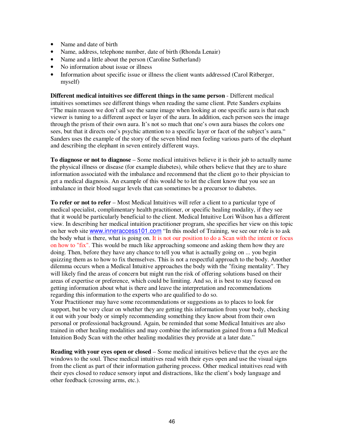- Name and date of birth
- Name, address, telephone number, date of birth (Rhonda Lenair)
- Name and a little about the person (Caroline Sutherland)
- No information about issue or illness
- Information about specific issue or illness the client wants addressed (Carol Ritberger, myself)

**Different medical intuitives see different things in the same person** - Different medical intuitives sometimes see different things when reading the same client. Pete Sanders explains "The main reason we don't all see the same image when looking at one specific aura is that each viewer is tuning to a different aspect or layer of the aura. In addition, each person sees the image through the prism of their own aura. It's not so much that one's own aura biases the colors one sees, but that it directs one's psychic attention to a specific layer or facet of the subject's aura." Sanders uses the example of the story of the seven blind men feeling various parts of the elephant and describing the elephant in seven entirely different ways.

**To diagnose or not to diagnose** – Some medical intuitives believe it is their job to actually name the physical illness or disease (for example diabetes), while others believe that they are to share information associated with the imbalance and recommend that the client go to their physician to get a medical diagnosis. An example of this would be to let the client know that you see an imbalance in their blood sugar levels that can sometimes be a precursor to diabetes.

**To refer or not to refer** – Most Medical Intuitives will refer a client to a particular type of medical specialist, complimentary health practitioner, or specific healing modality, if they see that it would be particularly beneficial to the client. Medical Intuitive Lori Wilson has a different view. In describing her medical intuition practitioner program, she specifies her view on this topic on her web site www.inneraccess101.com "In this model of Training, we see our role is to ask the body what is there, what is going on. It is not our position to do a Scan with the intent or focus on how to "fix". This would be much like approaching someone and asking them how they are doing. Then, before they have any chance to tell you what is actually going on ... you begin quizzing them as to how to fix themselves. This is not a respectful approach to the body. Another dilemma occurs when a Medical Intuitive approaches the body with the "fixing mentality". They will likely find the areas of concern but might run the risk of offering solutions based on their areas of expertise or preference, which could be limiting. And so, it is best to stay focused on getting information about what is there and leave the interpretation and recommendations regarding this information to the experts who are qualified to do so.

Your Practitioner may have some recommendations or suggestions as to places to look for support, but be very clear on whether they are getting this information from your body, checking it out with your body or simply recommending something they know about from their own personal or professional background. Again, be reminded that some Medical Intuitives are also trained in other healing modalities and may combine the information gained from a full Medical Intuition Body Scan with the other healing modalities they provide at a later date."

**Reading with your eyes open or closed** – Some medical intuitives believe that the eyes are the windows to the soul. These medical intuitives read with their eyes open and use the visual signs from the client as part of their information gathering process. Other medical intuitives read with their eyes closed to reduce sensory input and distractions, like the client's body language and other feedback (crossing arms, etc.).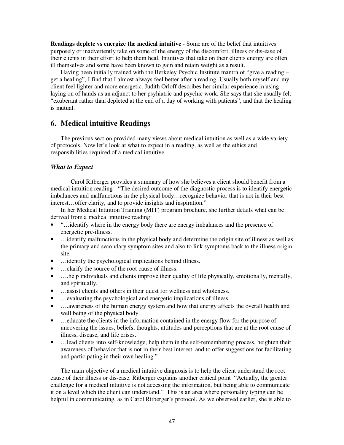**Readings deplete vs energize the medical intuitive** - Some are of the belief that intuitives purposely or inadvertently take on some of the energy of the discomfort, illness or dis-ease of their clients in their effort to help them heal. Intuitives that take on their clients energy are often ill themselves and some have been known to gain and retain weight as a result.

Having been initially trained with the Berkeley Psychic Institute mantra of "give a reading – get a healing", I find that I almost always feel better after a reading. Usually both myself and my client feel lighter and more energetic. Judith Orloff describes her similar experience in using laying on of hands as an adjunct to her psyhiatric and psychic work. She says that she usually felt "exuberant rather than depleted at the end of a day of working with patients", and that the healing is mutual.

## **6. Medical intuitive Readings**

The previous section provided many views about medical intuition as well as a wide variety of protocols. Now let's look at what to expect in a reading, as well as the ethics and responsibilities required of a medical intuitive.

### *What to Expect*

Carol Ritberger provides a summary of how she believes a client should benefit from a medical intuition reading - "The desired outcome of the diagnostic process is to identify energetic imbalances and malfunctions in the physical body…recognize behavior that is not in their best interest…offer clarity, and to provide insights and inspiration."

In her Medical Intuition Training (MIT) program brochure, she further details what can be derived from a medical intuitive reading:

- "…identify where in the energy body there are energy imbalances and the presence of energetic pre-illness.
- ... identify malfunctions in the physical body and determine the origin site of illness as well as the primary and secondary symptom sites and also to link symptoms back to the illness origin site.
- ... identify the psychological implications behind illness.
- ...clarify the source of the root cause of illness.
- .... help individuals and clients improve their quality of life physically, emotionally, mentally, and spiritually.
- …assist clients and others in their quest for wellness and wholeness.
- ... evaluating the psychological and energetic implications of illness.
- ….awareness of the human energy system and how that energy affects the overall health and well being of the physical body.
- …educate the clients in the information contained in the energy flow for the purpose of uncovering the issues, beliefs, thoughts, attitudes and perceptions that are at the root cause of illness, disease, and life crises.
- …lead clients into self-knowledge, help them in the self-remembering process, heighten their awareness of behavior that is not in their best interest, and to offer suggestions for facilitating and participating in their own healing."

The main objective of a medical intuitive diagnosis is to help the client understand the root cause of their illness or dis-ease. Ritberger explains another critical point "Actually, the greater challenge for a medical intuitive is not accessing the information, but being able to communicate it on a level which the client can understand." This is an area where personality typing can be helpful in communicating, as in Carol Ritberger's protocol. As we observed earlier, she is able to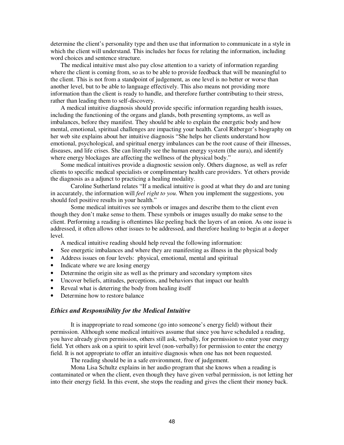determine the client's personality type and then use that information to communicate in a style in which the client will understand. This includes her focus for relating the information, including word choices and sentence structure.

The medical intuitive must also pay close attention to a variety of information regarding where the client is coming from, so as to be able to provide feedback that will be meaningful to the client. This is not from a standpoint of judgement, as one level is no better or worse than another level, but to be able to language effectively. This also means not providing more information than the client is ready to handle, and therefore further contributing to their stress, rather than leading them to self-discovery.

A medical intuitive diagnosis should provide specific information regarding health issues, including the functioning of the organs and glands, both presenting symptoms, as well as imbalances, before they manifest. They should be able to explain the energetic body and how mental, emotional, spiritual challenges are impacting your health. Carol Ritberger's biography on her web site explains about her intuitive diagnosis "She helps her clients understand how emotional, psychological, and spiritual energy imbalances can be the root cause of their illnesses, diseases, and life crises. She can literally see the human energy system (the aura), and identify where energy blockages are affecting the wellness of the physical body."

Some medical intuitives provide a diagnostic session only. Others diagnose, as well as refer clients to specific medical specialists or complimentary health care providers. Yet others provide the diagnosis as a adjunct to practicing a healing modality.

Caroline Sutherland relates "If a medical intuitive is good at what they do and are tuning in accurately, the information will *feel right to you*. When you implement the suggestions, you should feel positive results in your health."

Some medical intuitives see symbols or images and describe them to the client even though they don't make sense to them. These symbols or images usually do make sense to the client. Performing a reading is oftentimes like peeling back the layers of an onion. As one issue is addressed, it often allows other issues to be addressed, and therefore healing to begin at a deeper level.

A medical intuitive reading should help reveal the following information:

- See energetic imbalances and where they are manifesting as illness in the physical body
- Address issues on four levels: physical, emotional, mental and spiritual
- Indicate where we are losing energy
- Determine the origin site as well as the primary and secondary symptom sites
- Uncover beliefs, attitudes, perceptions, and behaviors that impact our health
- Reveal what is deterring the body from healing itself
- Determine how to restore balance

## *Ethics and Responsibility for the Medical Intuitive*

It is inappropriate to read someone (go into someone's energy field) without their permission. Although some medical intuitives assume that since you have scheduled a reading, you have already given permission, others still ask, verbally, for permission to enter your energy field. Yet others ask on a spirit to spirit level (non-verbally) for permission to enter the energy field. It is not appropriate to offer an intuitive diagnosis when one has not been requested.

The reading should be in a safe environment, free of judgement.

Mona Lisa Schultz explains in her audio program that she knows when a reading is contaminated or when the client, even though they have given verbal permission, is not letting her into their energy field. In this event, she stops the reading and gives the client their money back.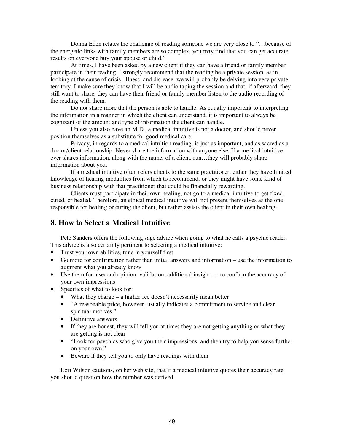Donna Eden relates the challenge of reading someone we are very close to "…because of the energetic links with family members are so complex, you may find that you can get accurate results on everyone buy your spouse or child."

At times, I have been asked by a new client if they can have a friend or family member participate in their reading. I strongly recommend that the reading be a private session, as in looking at the cause of crisis, illness, and dis-ease, we will probably be delving into very private territory. I make sure they know that I will be audio taping the session and that, if afterward, they still want to share, they can have their friend or family member listen to the audio recording of the reading with them.

Do not share more that the person is able to handle. As equally important to interpreting the information in a manner in which the client can understand, it is important to always be cognizant of the amount and type of information the client can handle.

Unless you also have an M.D., a medical intuitive is not a doctor, and should never position themselves as a substitute for good medical care.

Privacy, in regards to a medical intuition reading, is just as important, and as sacred,as a doctor/client relationship. Never share the information with anyone else. If a medical intuitive ever shares information, along with the name, of a client, run…they will probably share information about you.

If a medical intuitive often refers clients to the same practitioner, either they have limited knowledge of healing modalities from which to recommend, or they might have some kind of business relationship with that practitioner that could be financially rewarding.

Clients must participate in their own healing, not go to a medical intuitive to get fixed, cured, or healed. Therefore, an ethical medical intuitive will not present themselves as the one responsible for healing or curing the client, but rather assists the client in their own healing.

## **8. How to Select a Medical Intuitive**

Pete Sanders offers the following sage advice when going to what he calls a psychic reader. This advice is also certainly pertinent to selecting a medical intuitive:

- Trust your own abilities, tune in yourself first
- Go more for confirmation rather than initial answers and information use the information to augment what you already know
- Use them for a second opinion, validation, additional insight, or to confirm the accuracy of your own impressions
- Specifics of what to look for:
	- What they charge a higher fee doesn't necessarily mean better
	- "A reasonable price, however, usually indicates a commitment to service and clear spiritual motives."
	- Definitive answers
	- If they are honest, they will tell you at times they are not getting anything or what they are getting is not clear
	- "Look for psychics who give you their impressions, and then try to help you sense further on your own."
	- Beware if they tell you to only have readings with them

Lori Wilson cautions, on her web site, that if a medical intuitive quotes their accuracy rate, you should question how the number was derived.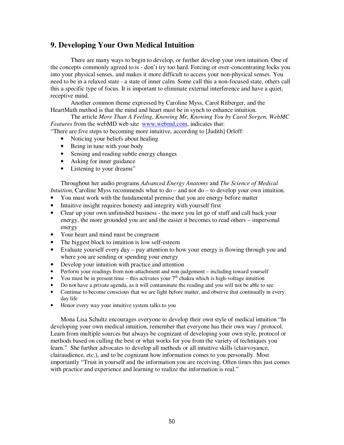## **9. Developing Your Own Medical Intuition**

There are many ways to begin to develop, or further develop your own intuition. One of the concepts commonly agreed to is - don't try too hard. Forcing or over-concentrating locks you into your physical senses, and makes it more difficult to access your non-physical senses. You need to be in a relaxed state - a state of inner calm. Some call this a non-focused state, others call this a specific type of focus. It is important to eliminate external interference and have a quiet, receptive mind.

Another common theme expressed by Caroline Myss, Carol Ritberger, and the HeartMath method is that the mind and heart must be in synch to enhance intuition.

The article *More Than A Feeling, Knowing Me, Knowing You by Carol Sorgen, WebMC Features* from the webMD web site www.webmd.com, indicates that:

"There are five steps to becoming more intuitive, according to [Judith] Orloff:

- Noticing your beliefs about healing
- Being in tune with your body
- Sensing and reading subtle energy changes
- Asking for inner guidance
- Listening to your dreams"

Throughout her audio programs *Advanced Energy Anatomy* and *The Science of Medical Intuition*, Caroline Myss recommends what to do – and not do – to develop your own intuition.

- You must work with the fundamental premise that you are energy before matter
- Intuitive insight requires honesty and integrity with yourself first
- Clear up your own unfinished business the more you let go of stuff and call back your energy, the more grounded you are and the easier it becomes to read others – impersonal energy
- Your heart and mind must be congruent
- The biggest block to intuition is low self-esteem
- Evaluate yourself every day pay attention to how your energy is flowing through you and where you are sending or spending your energy
- Develop your intuition with practice and attention
- Perform your readings from non-attachment and non-judgement including toward yourself
- You must be in present time this activates your  $7<sup>th</sup>$  chakra which is high-voltage intuition
- Do not have a private agenda, as it will contaminate the reading and you will not be able to see
- Continue to become conscious that we are light before matter, and observe that continually in every day life
- Honor every way your intuitive system talks to you

Mona Lisa Schultz encourages everyone to develop their own style of medical intuition "In developing your own medical intuition, remember that everyone has their own way / protocol. Learn from multiple sources but always be cognizant of developing your own style, protocol or methods based on culling the best or what works for you from the variety of techniques you learn." She further advocates to develop all methods or all intuitive skills (clairvoyance, clairaudience, etc.), and to be cognizant how information comes to you personally. Most importantly "Trust in yourself and the information you are receiving. Often times this just comes with practice and experience and learning to realize the information is real."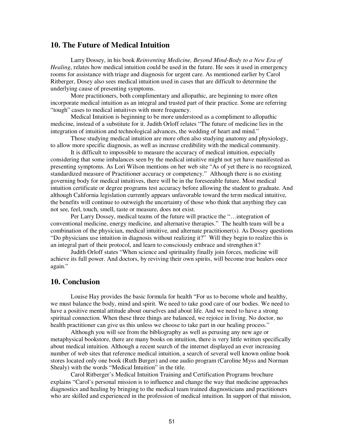## **10. The Future of Medical Intuition**

Larry Dossey, in his book *Reinventing Medicine, Beyond Mind-Body to a New Era of Healing*, relates how medical intuition could be used in the future. He sees it used in emergency rooms for assistance with triage and diagnosis for urgent care. As mentioned earlier by Carol Ritberger, Dosey also sees medical intuition used in cases that are difficult to determine the underlying cause of presenting symptoms.

More practitioners, both complimentary and allopathic, are beginning to more often incorporate medical intuition as an integral and trusted part of their practice. Some are referring "tough" cases to medical intuitives with more frequency.

Medical Intuition is beginning to be more understood as a compliment to allopathic medicine, instead of a substitute for it. Judith Orloff relates "The future of medicine lies in the integration of intuition and technological advances, the wedding of heart and mind."

Those studying medical intuition are more often also studying anatomy and physiology, to allow more specific diagnosis, as well as increase credibility with the medical community.

It is difficult to impossible to measure the accuracy of medical intuition, especially considering that some imbalances seen by the medical intuitive might not yet have manifested as presenting symptoms. As Lori Wilson mentions on her web site "As of yet there is no recognized, standardized measure of Practitioner accuracy or competency." Although there is no existing governing body for medical intuitives, there will be in the foreseeable future. Most medical intuition certificate or degree programs test accuracy before allowing the student to graduate. And although California legislation currently appears unfavorable toward the term medical intuitive, the benefits will continue to outweigh the uncertainty of those who think that anything they can not see, feel, touch, smell, taste or measure, does not exist.

Per Larry Dossey, medical teams of the future will practice the "…integration of conventional medicine, energy medicine, and alternative therapies." The health team will be a combination of the physician, medical intuitive, and alternate practitioner(s). As Dossey questions "Do physicians use intuition in diagnosis without realizing it?" Will they begin to realize this is an integral part of their protocol, and learn to consciously embrace and strengthen it?

Judith Orloff states "When science and spirituality finally join forces, medicine will achieve its full power. And doctors, by reviving their own spirits, will become true healers once again."

## **10. Conclusion**

Louise Hay provides the basic formula for health "For us to become whole and healthy, we must balance the body, mind and spirit. We need to take good care of our bodies. We need to have a positive mental attitude about ourselves and about life. And we need to have a strong spiritual connection. When these three things are balanced, we rejoice in living. No doctor, no health practitioner can give us this unless we choose to take part in our healing process."

Although you will see from the bibliography as well as perusing any new age or metaphysical bookstore, there are many books on intuition, there is very little written specifically about medical intuition. Although a recent search of the internet displayed an ever increasing number of web sites that reference medical intuition, a search of several well known online book stores located only one book (Ruth Burger) and one audio program (Caroline Myss and Norman Shealy) with the words "Medical Intuition" in the title.

Carol Ritberger's Medical Intuition Training and Certification Programs brochure explains "Carol's personal mission is to influence and change the way that medicine approaches diagnostics and healing by bringing to the medical team trained diagnosticians and practitioners who are skilled and experienced in the profession of medical intuition. In support of that mission,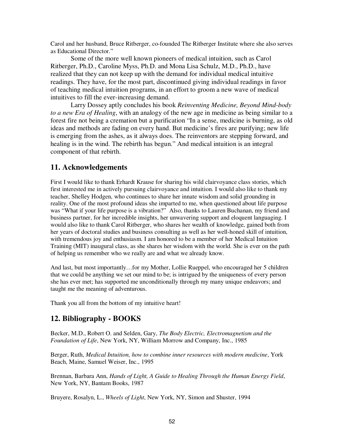Carol and her husband, Bruce Ritberger, co-founded The Ritberger Institute where she also serves as Educational Director."

Some of the more well known pioneers of medical intuition, such as Carol Ritberger, Ph.D., Caroline Myss, Ph.D. and Mona Lisa Schulz, M.D., Ph.D., have realized that they can not keep up with the demand for individual medical intuitive readings. They have, for the most part, discontinued giving individual readings in favor of teaching medical intuition programs, in an effort to groom a new wave of medical intuitives to fill the ever-increasing demand.

Larry Dossey aptly concludes his book *Reinventing Medicine, Beyond Mind-body to a new Era of Healing*, with an analogy of the new age in medicine as being similar to a forest fire not being a cremation but a purification "In a sense, medicine is burning, as old ideas and methods are fading on every hand. But medicine's fires are purifying; new life is emerging from the ashes, as it always does. The reinventors are stepping forward, and healing is in the wind. The rebirth has begun." And medical intuition is an integral component of that rebirth.

## **11. Acknowledgements**

First I would like to thank Erhardt Krause for sharing his wild clairvoyance class stories, which first interested me in actively pursuing clairvoyance and intuition. I would also like to thank my teacher, Shelley Hodgen, who continues to share her innate wisdom and solid grounding in reality. One of the most profound ideas she imparted to me, when questioned about life purpose was "What if your life purpose is a vibration?" Also, thanks to Lauren Buchanan, my friend and business partner, for her incredible insights, her unwavering support and eloquent languaging. I would also like to thank Carol Ritberger, who shares her wealth of knowledge, gained both from her years of doctoral studies and business consulting as well as her well-honed skill of intuition, with tremendous joy and enthusiasm. I am honored to be a member of her Medical Intuition Training (MIT) inaugural class, as she shares her wisdom with the world. She is ever on the path of helping us remember who we really are and what we already know.

And last, but most importantly…for my Mother, Lollie Rueppel, who encouraged her 5 children that we could be anything we set our mind to be; is intrigued by the uniqueness of every person she has ever met; has supported me unconditionally through my many unique endeavors; and taught me the meaning of adventurous.

Thank you all from the bottom of my intuitive heart!

## **12. Bibliography - BOOKS**

Becker, M.D., Robert O. and Selden, Gary, *The Body Electric, Electromagnetism and the Foundation of Life*, New York, NY, William Morrow and Company, Inc., 1985

Berger, Ruth, *Medical Intuition, how to combine inner resources with modern medicine*, York Beach, Maine, Samuel Weiser, Inc., 1995

Brennan, Barbara Ann, *Hands of Light, A Guide to Healing Through the Human Energy Field*, New York, NY, Bantam Books, 1987

Bruyere, Rosalyn, L., *Wheels of Light*, New York, NY, Simon and Shuster, 1994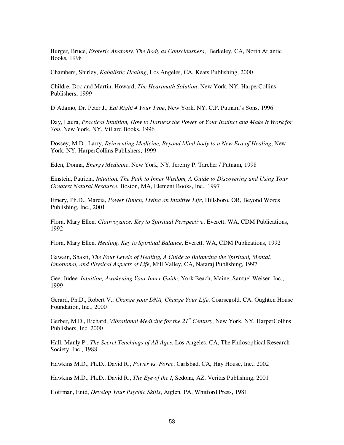Burger, Bruce, *Esoteric Anatomy, The Body as Consciousness*, Berkeley, CA, North Atlantic Books, 1998

Chambers, Shirley, *Kabalistic Healing*, Los Angeles, CA, Keats Publishing, 2000

Childre, Doc and Martin, Howard, *The Heartmath Solution*, New York, NY, HarperCollins Publishers, 1999

D'Adamo, Dr. Peter J., *Eat Right 4 Your Type*, New York, NY, C.P. Putnam's Sons, 1996

Day, Laura, *Practical Intuition, How to Harness the Power of Your Instinct and Make It Work for You*, New York, NY, Villard Books, 1996

Dossey, M.D., Larry, *Reinventing Medicine, Beyond Mind-body to a New Era of Healing*, New York, NY, HarperCollins Publishers, 1999

Eden, Donna, *Energy Medicine*, New York, NY, Jeremy P. Tarcher / Putnam, 1998

Einstein, Patricia, *Intuition, The Path to Inner Wisdom, A Guide to Discovering and Using Your Greatest Natural Resource*, Boston, MA, Element Books, Inc., 1997

Emery, Ph.D., Marcia, *Power Hunch, Living an Intuitive Life*, Hillsboro, OR, Beyond Words Publishing, Inc., 2001

Flora, Mary Ellen, *Clairvoyance, Key to Spiritual Perspective*, Everett, WA, CDM Publications, 1992

Flora, Mary Ellen, *Healing, Key to Spiritual Balance*, Everett, WA, CDM Publications, 1992

Gawain, Shakti, *The Four Levels of Healing, A Guide to Balancing the Spiritual, Mental, Emotional, and Physical Aspects of Life*, Mill Valley, CA, Nataraj Publishing, 1997

Gee, Judee*, Intuition, Awakening Your Inner Guide*, York Beach, Maine, Samuel Weiser, Inc., 1999

Gerard, Ph.D., Robert V., *Change your DNA, Change Your Life*, Coarsegold, CA, Oughten House Foundation, Inc., 2000

Gerber, M.D., Richard, *Vibrational Medicine for the 21st Century*, New York, NY, HarperCollins Publishers, Inc. 2000

Hall, Manly P., *The Secret Teachings of All Ages*, Los Angeles, CA, The Philosophical Research Society, Inc., 1988

Hawkins M.D., Ph.D., David R., *Power vs. Force*, Carlsbad, CA, Hay House, Inc., 2002

Hawkins M.D., Ph.D., David R., *The Eye of the I*, Sedona, AZ, Veritas Publishing, 2001

Hoffman, Enid, *Develop Your Psychic Skills*, Atglen, PA, Whitford Press, 1981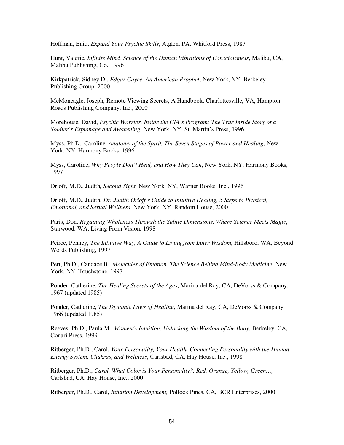Hoffman, Enid, *Expand Your Psychic Skills*, Atglen, PA, Whitford Press, 1987

Hunt, Valerie, *Infinite Mind, Science of the Human Vibrations of Consciousness*, Malibu, CA, Malibu Publishing, Co., 1996

Kirkpatrick, Sidney D., *Edgar Cayce, An American Prophet*, New York, NY, Berkeley Publishing Group, 2000

McMoneagle, Joseph, Remote Viewing Secrets, A Handbook, Charlottesville, VA, Hampton Roads Publishing Company, Inc., 2000

Morehouse, David, *Psychic Warrior, Inside the CIA's Program: The True Inside Story of a Soldier's Espionage and Awakening*, New York, NY, St. Martin's Press, 1996

Myss, Ph.D., Caroline, *Anatomy of the Spirit, The Seven Stages of Power and Healing*, New York, NY, Harmony Books, 1996

Myss, Caroline, *Why People Don't Heal, and How They Can*, New York, NY, Harmony Books, 1997

Orloff, M.D., Judith*, Second Sight,* New York, NY, Warner Books, Inc., 1996

Orloff, M.D., Judith, *Dr. Judith Orloff's Guide to Intuitive Healing, 5 Steps to Physical, Emotional, and Sexual Wellness*, New York, NY, Random House, 2000

Paris, Don, *Regaining Wholeness Through the Subtle Dimensions, Where Science Meets Magic*, Starwood, WA, Living From Vision, 1998

Peirce, Penney, *The Intuitive Way, A Guide to Living from Inner Wisdom*, Hillsboro, WA, Beyond Words Publishing, 1997

Pert, Ph.D., Candace B., *Molecules of Emotion, The Science Behind Mind-Body Medicine*, New York, NY, Touchstone, 1997

Ponder, Catherine, *The Healing Secrets of the Ages*, Marina del Ray, CA, DeVorss & Company, 1967 (updated 1985)

Ponder, Catherine, *The Dynamic Laws of Healing*, Marina del Ray, CA, DeVorss & Company, 1966 (updated 1985)

Reeves, Ph.D., Paula M., *Women's Intuition, Unlocking the Wisdom of the Body*, Berkeley, CA, Conari Press, 1999

Ritberger, Ph.D., Carol, *Your Personality, Your Health, Connecting Personality with the Human Energy System, Chakras, and Wellness*, Carlsbad, CA, Hay House, Inc., 1998

Ritberger, Ph.D., *Carol, What Color is Your Personality?, Red, Orange, Yellow, Green…,* Carlsbad, CA, Hay House, Inc., 2000

Ritberger, Ph.D., Carol, *Intuition Development,* Pollock Pines, CA, BCR Enterprises, 2000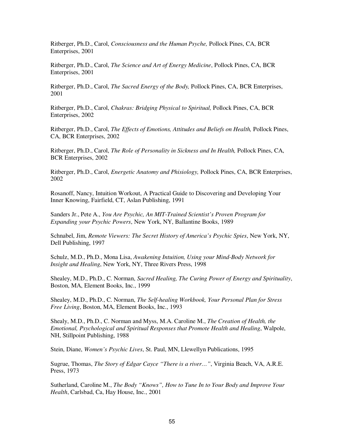Ritberger, Ph.D., Carol, *Consciousness and the Human Psyche,* Pollock Pines, CA, BCR Enterprises, 2001

Ritberger, Ph.D., Carol, *The Science and Art of Energy Medicine*, Pollock Pines, CA, BCR Enterprises, 2001

Ritberger, Ph.D., Carol, *The Sacred Energy of the Body,* Pollock Pines, CA, BCR Enterprises, 2001

Ritberger, Ph.D., Carol, *Chakras: Bridging Physical to Spiritual,* Pollock Pines, CA, BCR Enterprises, 2002

Ritberger, Ph.D., Carol, *The Effects of Emotions, Attitudes and Beliefs on Health,* Pollock Pines, CA, BCR Enterprises, 2002

Ritberger, Ph.D., Carol, *The Role of Personality in Sickness and In Health,* Pollock Pines, CA, BCR Enterprises, 2002

Ritberger, Ph.D., Carol, *Energetic Anatomy and Phisiology,* Pollock Pines, CA, BCR Enterprises, 2002

Rosanoff, Nancy, Intuition Workout, A Practical Guide to Discovering and Developing Your Inner Knowing, Fairfield, CT, Aslan Publishing, 1991

Sanders Jr., Pete A., *You Are Psychic, An MIT-Trained Scientist's Proven Program for Expanding your Psychic Powers*, New York, NY, Ballantine Books, 1989

Schnabel, Jim, *Remote Viewers: The Secret History of America's Psychic Spies*, New York, NY, Dell Publishing, 1997

Schulz, M.D., Ph.D., Mona Lisa, *Awakening Intuition, Using your Mind-Body Network for Insight and Healing*, New York, NY, Three Rivers Press, 1998

Shealey, M.D., Ph.D., C. Norman, *Sacred Healing, The Curing Power of Energy and Spirituality*, Boston, MA, Element Books, Inc., 1999

Shealey, M.D., Ph.D., C. Norman, *The Self-healing Workbook, Your Personal Plan for Stress Free Living*, Boston, MA, Element Books, Inc., 1993

Shealy, M.D., Ph.D., C. Norman and Myss, M.A. Caroline M., *The Creation of Health, the Emotional, Psychological and Spiritual Responses that Promote Health and Healing*, Walpole, NH, Stillpoint Publishing, 1988

Stein, Diane, *Women's Psychic Lives*, St. Paul, MN, Llewellyn Publications, 1995

Sugrue, Thomas, *The Story of Edgar Cayce "There is a river…"*, Virginia Beach, VA, A.R.E. Press, 1973

Sutherland, Caroline M., *The Body "Knows", How to Tune In to Your Body and Improve Your Health*, Carlsbad, Ca, Hay House, Inc., 2001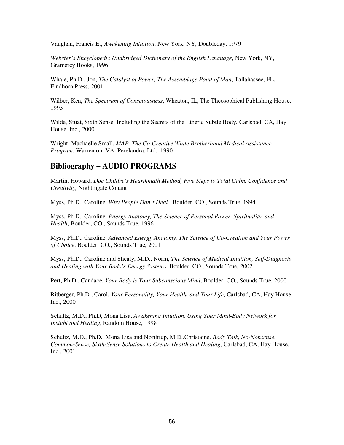Vaughan, Francis E., *Awakening Intuition*, New York, NY, Doubleday, 1979

*Webster's Encyclopedic Unabridged Dictionary of the English Language*, New York, NY, Gramercy Books, 1996

Whale, Ph.D., Jon, *The Catalyst of Power, The Assemblage Point of Man*, Tallahassee, FL, Findhorn Press, 2001

Wilber, Ken, *The Spectrum of Consciousness*, Wheaton, IL, The Theosophical Publishing House, 1993

Wilde, Stuat, Sixth Sense, Including the Secrets of the Etheric Subtle Body, Carlsbad, CA, Hay House, Inc., 2000

Wright, Machaelle Small, *MAP, The Co-Creative White Brotherhood Medical Assistance Program*, Warrenton, VA, Perelandra, Ltd., 1990

## **Bibliography – AUDIO PROGRAMS**

Martin, Howard, *Doc Childre's Hearthmath Method, Five Steps to Total Calm, Confidence and Creativity,* Nightingale Conant

Myss, Ph.D., Caroline, *Why People Don't Heal,* Boulder, CO., Sounds True, 1994

Myss, Ph.D., Caroline, *Energy Anatomy, The Science of Personal Power, Spirituality, and Health*, Boulder, CO., Sounds True, 1996

Myss, Ph.D., Caroline, *Advanced Energy Anatomy, The Science of Co-Creation and Your Power of Choice*, Boulder, CO., Sounds True, 2001

Myss, Ph.D., Caroline and Shealy, M.D., Norm, *The Science of Medical Intuition, Self-Diagnosis and Healing with Your Body's Energy Systems*, Boulder, CO., Sounds True, 2002

Pert, Ph.D., Candace, *Your Body is Your Subconscious Mind*, Boulder, CO., Sounds True, 2000

Ritberger, Ph.D., Carol, *Your Personality, Your Health, and Your Life*, Carlsbad, CA, Hay House, Inc., 2000

Schultz, M.D., Ph.D, Mona Lisa, *Awakening Intuition, Using Your Mind-Body Network for Insight and Healing*, Random House, 1998

Schultz, M.D., Ph.D., Mona Lisa and Northrup, M.D.,Christaine. *Body Talk, No-Nonsense*, *Common-Sense, Sixth-Sense Solutions to Create Health and Healing*, Carlsbad, CA, Hay House, Inc., 2001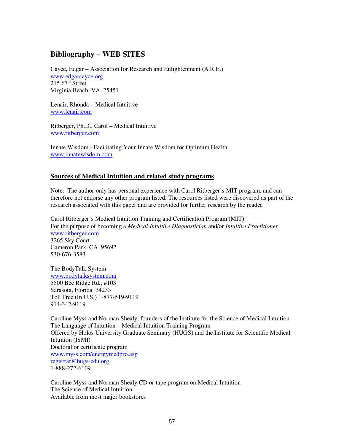## **Bibliography – WEB SITES**

Cayce, Edgar – Association for Research and Enlightenment (A.R.E.) www.edgarcayce.org  $215$  67<sup>th</sup> Street Virginia Beach, VA 25451

Lenair, Rhonda – Medical Intuitive www.lenair.com

Ritberger, Ph.D., Carol – Medical Intuitive www.ritberger.com

Innate Wisdom - Facilitating Your Innate Wisdom for Optimum Health www.innatewisdom.com

## **Sources of Medical Intuition and related study programs**

Note: The author only has personal experience with Carol Ritberger's MIT program, and can therefore not endorse any other program listed. The resources listed were discovered as part of the research associated with this paper and are provided for further research by the reader.

Carol Ritberger's Medical Intuition Training and Certification Program (MIT) For the purpose of becoming a *Medical Intuitive Diagnostician* and/or *Intuitive Practitioner* www.ritberger.com 3265 Sky Court Cameron Park, CA 95692 530-676-3583

The BodyTalk System – www.bodytalksystem.com 5500 Bee Ridge Rd., #103 Sarasota, Florida 34233 Toll Free (In U.S.) 1-877-519-9119 914-342-9119

Caroline Myss and Norman Shealy, founders of the Institute for the Science of Medical Intuition The Language of Intuition – Medical Intuition Training Program Offered by Holos University Graduate Seminary (HUGS) and the Institute for Scientific Medical Intuition (ISMI) Doctoral or certificate program www.myss.com/energymedpro.asp registrar@hugs-edu.org 1-888-272-6109

Caroline Myss and Norman Shealy CD or tape program on Medical Intuition The Science of Medical Intuition Available from most major bookstores